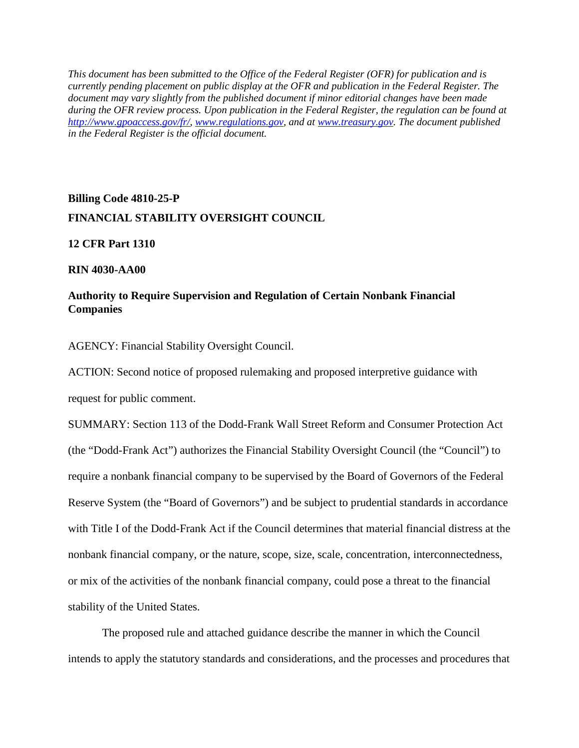*This document has been submitted to the Office of the Federal Register (OFR) for publication and is currently pending placement on public display at the OFR and publication in the Federal Register. The document may vary slightly from the published document if minor editorial changes have been made during the OFR review process. Upon publication in the Federal Register, the regulation can be found at [http://www.gpoaccess.gov/fr/,](http://www.gpoaccess.gov/fr/) [www.regulations.gov,](http://www.regulations.gov/) and at [www.treasury.gov.](http://www.treasury.gov/) The document published in the Federal Register is the official document.*

# **Billing Code 4810-25-P FINANCIAL STABILITY OVERSIGHT COUNCIL**

## **12 CFR Part 1310**

## **RIN 4030-AA00**

# **Authority to Require Supervision and Regulation of Certain Nonbank Financial Companies**

AGENCY: Financial Stability Oversight Council.

ACTION: Second notice of proposed rulemaking and proposed interpretive guidance with request for public comment.

SUMMARY: Section 113 of the Dodd-Frank Wall Street Reform and Consumer Protection Act (the "Dodd-Frank Act") authorizes the Financial Stability Oversight Council (the "Council") to require a nonbank financial company to be supervised by the Board of Governors of the Federal Reserve System (the "Board of Governors") and be subject to prudential standards in accordance with Title I of the Dodd-Frank Act if the Council determines that material financial distress at the nonbank financial company, or the nature, scope, size, scale, concentration, interconnectedness, or mix of the activities of the nonbank financial company, could pose a threat to the financial stability of the United States.

<span id="page-0-0"></span>The proposed rule and attached guidance describe the manner in which the Council intends to apply the statutory standards and considerations, and the processes and procedures that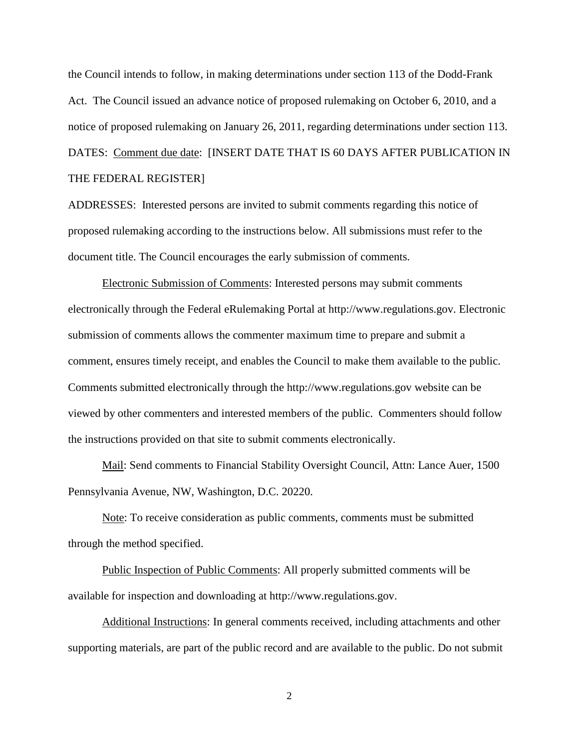the Council intends to follow, in making determinations under section 113 of the Dodd-Frank Act. The Council issued an advance notice of proposed rulemaking on October 6, 2010, and a notice of proposed rulemaking on January 26, 2011, regarding determinations under section 113. DATES: Comment due date: [INSERT DATE THAT IS 60 DAYS AFTER PUBLICATION IN THE FEDERAL REGISTER]

ADDRESSES: Interested persons are invited to submit comments regarding this notice of proposed rulemaking according to the instructions below. All submissions must refer to the document title. The Council encourages the early submission of comments.

Electronic Submission of Comments: Interested persons may submit comments electronically through the Federal eRulemaking Portal at http://www.regulations.gov. Electronic submission of comments allows the commenter maximum time to prepare and submit a comment, ensures timely receipt, and enables the Council to make them available to the public. Comments submitted electronically through the http://www.regulations.gov website can be viewed by other commenters and interested members of the public. Commenters should follow the instructions provided on that site to submit comments electronically.

Mail: Send comments to Financial Stability Oversight Council, Attn: Lance Auer, 1500 Pennsylvania Avenue, NW, Washington, D.C. 20220.

Note: To receive consideration as public comments, comments must be submitted through the method specified.

Public Inspection of Public Comments: All properly submitted comments will be available for inspection and downloading at http://www.regulations.gov.

Additional Instructions: In general comments received, including attachments and other supporting materials, are part of the public record and are available to the public. Do not submit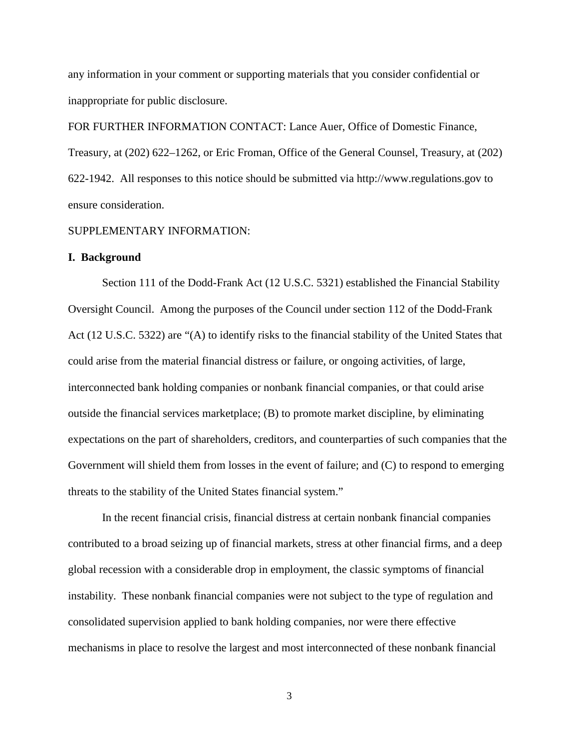any information in your comment or supporting materials that you consider confidential or inappropriate for public disclosure.

FOR FURTHER INFORMATION CONTACT: Lance Auer, Office of Domestic Finance, Treasury, at (202) 622–1262, or Eric Froman, Office of the General Counsel, Treasury, at (202) 622-1942. All responses to this notice should be submitted via http://www.regulations.gov to ensure consideration.

## SUPPLEMENTARY INFORMATION:

### **I. Background**

Section 111 of the Dodd-Frank Act (12 U.S.C. 5321) established the Financial Stability Oversight Council. Among the purposes of the Council under section 112 of the Dodd-Frank Act (12 U.S.C. 5322) are "(A) to identify risks to the financial stability of the United States that could arise from the material financial distress or failure, or ongoing activities, of large, interconnected bank holding companies or nonbank financial companies, or that could arise outside the financial services marketplace; (B) to promote market discipline, by eliminating expectations on the part of shareholders, creditors, and counterparties of such companies that the Government will shield them from losses in the event of failure; and (C) to respond to emerging threats to the stability of the United States financial system."

In the recent financial crisis, financial distress at certain nonbank financial companies contributed to a broad seizing up of financial markets, stress at other financial firms, and a deep global recession with a considerable drop in employment, the classic symptoms of financial instability. These nonbank financial companies were not subject to the type of regulation and consolidated supervision applied to bank holding companies, nor were there effective mechanisms in place to resolve the largest and most interconnected of these nonbank financial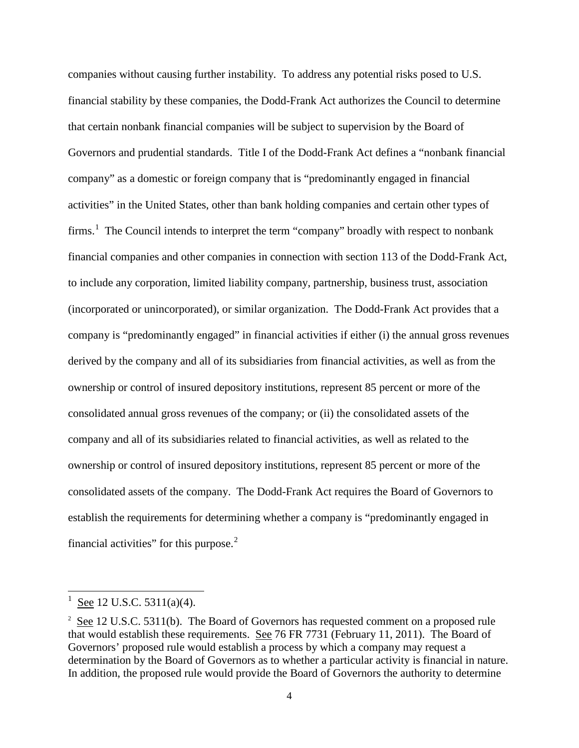companies without causing further instability. To address any potential risks posed to U.S. financial stability by these companies, the Dodd-Frank Act authorizes the Council to determine that certain nonbank financial companies will be subject to supervision by the Board of Governors and prudential standards. Title I of the Dodd-Frank Act defines a "nonbank financial company" as a domestic or foreign company that is "predominantly engaged in financial activities" in the United States, other than bank holding companies and certain other types of firms.<sup>[1](#page-0-0)</sup> The Council intends to interpret the term "company" broadly with respect to nonbank financial companies and other companies in connection with section 113 of the Dodd-Frank Act, to include any corporation, limited liability company, partnership, business trust, association (incorporated or unincorporated), or similar organization. The Dodd-Frank Act provides that a company is "predominantly engaged" in financial activities if either (i) the annual gross revenues derived by the company and all of its subsidiaries from financial activities, as well as from the ownership or control of insured depository institutions, represent 85 percent or more of the consolidated annual gross revenues of the company; or (ii) the consolidated assets of the company and all of its subsidiaries related to financial activities, as well as related to the ownership or control of insured depository institutions, represent 85 percent or more of the consolidated assets of the company. The Dodd-Frank Act requires the Board of Governors to establish the requirements for determining whether a company is "predominantly engaged in financial activities" for this purpose. $2$ 

 $\frac{1}{1}$ See 12 U.S.C. 5311(a)(4).

<span id="page-3-1"></span><span id="page-3-0"></span> $2 \text{ See } 12 \text{ U.S.C. } 5311(b)$ . The Board of Governors has requested comment on a proposed rule that would establish these requirements. See 76 FR 7731 (February 11, 2011). The Board of Governors' proposed rule would establish a process by which a company may request a determination by the Board of Governors as to whether a particular activity is financial in nature. In addition, the proposed rule would provide the Board of Governors the authority to determine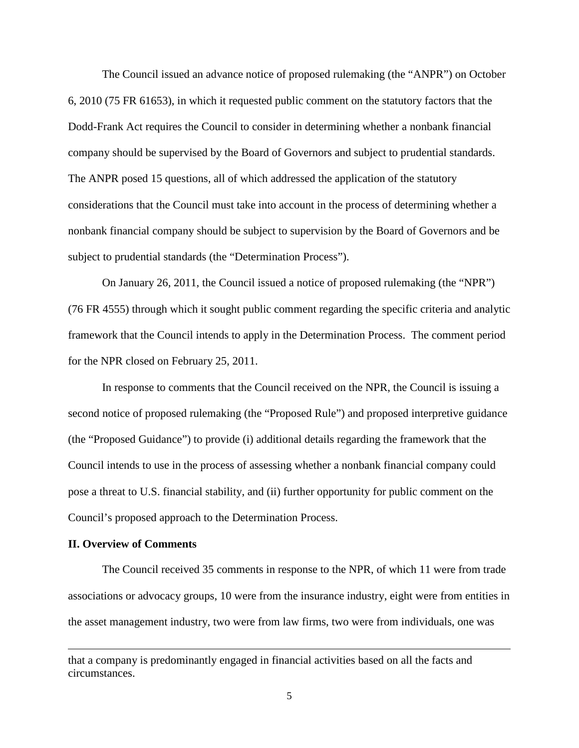The Council issued an advance notice of proposed rulemaking (the "ANPR") on October 6, 2010 (75 FR 61653), in which it requested public comment on the statutory factors that the Dodd-Frank Act requires the Council to consider in determining whether a nonbank financial company should be supervised by the Board of Governors and subject to prudential standards. The ANPR posed 15 questions, all of which addressed the application of the statutory considerations that the Council must take into account in the process of determining whether a nonbank financial company should be subject to supervision by the Board of Governors and be subject to prudential standards (the "Determination Process").

On January 26, 2011, the Council issued a notice of proposed rulemaking (the "NPR") (76 FR 4555) through which it sought public comment regarding the specific criteria and analytic framework that the Council intends to apply in the Determination Process. The comment period for the NPR closed on February 25, 2011.

In response to comments that the Council received on the NPR, the Council is issuing a second notice of proposed rulemaking (the "Proposed Rule") and proposed interpretive guidance (the "Proposed Guidance") to provide (i) additional details regarding the framework that the Council intends to use in the process of assessing whether a nonbank financial company could pose a threat to U.S. financial stability, and (ii) further opportunity for public comment on the Council's proposed approach to the Determination Process.

### **II. Overview of Comments**

 $\overline{a}$ 

The Council received 35 comments in response to the NPR, of which 11 were from trade associations or advocacy groups, 10 were from the insurance industry, eight were from entities in the asset management industry, two were from law firms, two were from individuals, one was

that a company is predominantly engaged in financial activities based on all the facts and circumstances.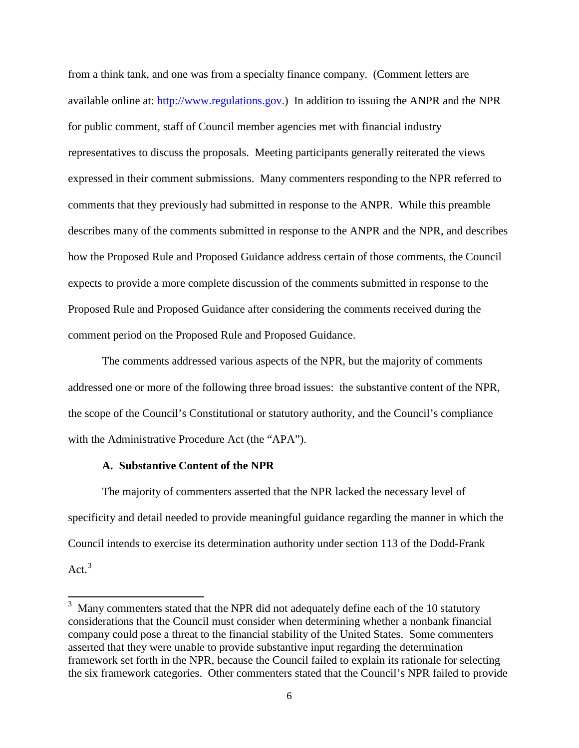from a think tank, and one was from a specialty finance company. (Comment letters are available online at: [http://www.regulations.gov.\)](http://www.regulations.gov/) In addition to issuing the ANPR and the NPR for public comment, staff of Council member agencies met with financial industry representatives to discuss the proposals. Meeting participants generally reiterated the views expressed in their comment submissions. Many commenters responding to the NPR referred to comments that they previously had submitted in response to the ANPR. While this preamble describes many of the comments submitted in response to the ANPR and the NPR, and describes how the Proposed Rule and Proposed Guidance address certain of those comments, the Council expects to provide a more complete discussion of the comments submitted in response to the Proposed Rule and Proposed Guidance after considering the comments received during the comment period on the Proposed Rule and Proposed Guidance.

The comments addressed various aspects of the NPR, but the majority of comments addressed one or more of the following three broad issues: the substantive content of the NPR, the scope of the Council's Constitutional or statutory authority, and the Council's compliance with the Administrative Procedure Act (the "APA").

## **A. Substantive Content of the NPR**

The majority of commenters asserted that the NPR lacked the necessary level of specificity and detail needed to provide meaningful guidance regarding the manner in which the Council intends to exercise its determination authority under section 113 of the Dodd-Frank Act.<sup>[3](#page-3-1)</sup>

<span id="page-5-0"></span><sup>&</sup>lt;sup>3</sup> Many commenters stated that the NPR did not adequately define each of the 10 statutory considerations that the Council must consider when determining whether a nonbank financial company could pose a threat to the financial stability of the United States. Some commenters asserted that they were unable to provide substantive input regarding the determination framework set forth in the NPR, because the Council failed to explain its rationale for selecting the six framework categories. Other commenters stated that the Council's NPR failed to provide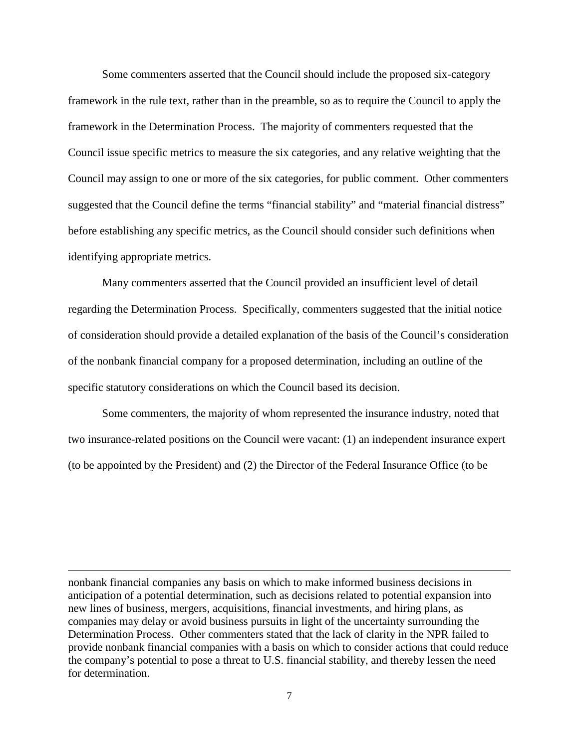Some commenters asserted that the Council should include the proposed six-category framework in the rule text, rather than in the preamble, so as to require the Council to apply the framework in the Determination Process. The majority of commenters requested that the Council issue specific metrics to measure the six categories, and any relative weighting that the Council may assign to one or more of the six categories, for public comment. Other commenters suggested that the Council define the terms "financial stability" and "material financial distress" before establishing any specific metrics, as the Council should consider such definitions when identifying appropriate metrics.

Many commenters asserted that the Council provided an insufficient level of detail regarding the Determination Process. Specifically, commenters suggested that the initial notice of consideration should provide a detailed explanation of the basis of the Council's consideration of the nonbank financial company for a proposed determination, including an outline of the specific statutory considerations on which the Council based its decision.

Some commenters, the majority of whom represented the insurance industry, noted that two insurance-related positions on the Council were vacant: (1) an independent insurance expert (to be appointed by the President) and (2) the Director of the Federal Insurance Office (to be

nonbank financial companies any basis on which to make informed business decisions in anticipation of a potential determination, such as decisions related to potential expansion into new lines of business, mergers, acquisitions, financial investments, and hiring plans, as companies may delay or avoid business pursuits in light of the uncertainty surrounding the Determination Process. Other commenters stated that the lack of clarity in the NPR failed to provide nonbank financial companies with a basis on which to consider actions that could reduce the company's potential to pose a threat to U.S. financial stability, and thereby lessen the need for determination.

 $\overline{a}$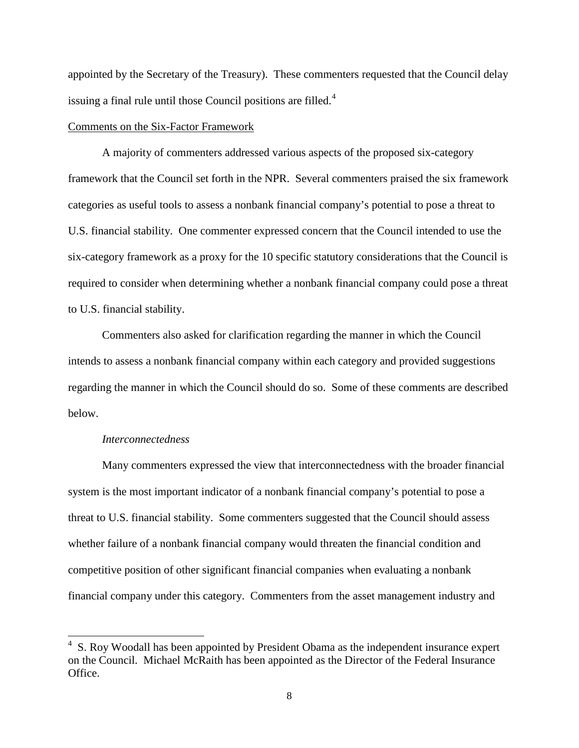appointed by the Secretary of the Treasury). These commenters requested that the Council delay issuing a final rule until those Council positions are filled. $4$ 

## Comments on the Six-Factor Framework

A majority of commenters addressed various aspects of the proposed six-category framework that the Council set forth in the NPR. Several commenters praised the six framework categories as useful tools to assess a nonbank financial company's potential to pose a threat to U.S. financial stability. One commenter expressed concern that the Council intended to use the six-category framework as a proxy for the 10 specific statutory considerations that the Council is required to consider when determining whether a nonbank financial company could pose a threat to U.S. financial stability.

Commenters also asked for clarification regarding the manner in which the Council intends to assess a nonbank financial company within each category and provided suggestions regarding the manner in which the Council should do so. Some of these comments are described below.

### *Interconnectedness*

Many commenters expressed the view that interconnectedness with the broader financial system is the most important indicator of a nonbank financial company's potential to pose a threat to U.S. financial stability. Some commenters suggested that the Council should assess whether failure of a nonbank financial company would threaten the financial condition and competitive position of other significant financial companies when evaluating a nonbank financial company under this category. Commenters from the asset management industry and

<span id="page-7-0"></span> $4\,$  S. Roy Woodall has been appointed by President Obama as the independent insurance expert on the Council. Michael McRaith has been appointed as the Director of the Federal Insurance Office.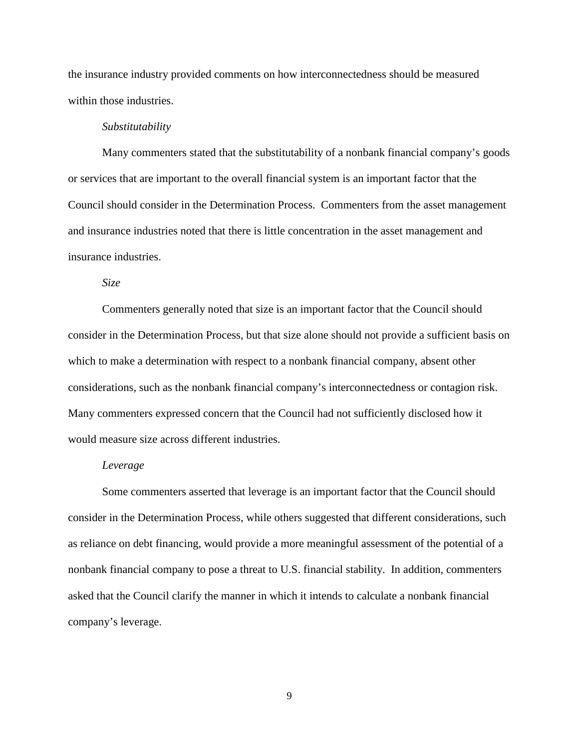the insurance industry provided comments on how interconnectedness should be measured within those industries.

#### *Substitutability*

Many commenters stated that the substitutability of a nonbank financial company's goods or services that are important to the overall financial system is an important factor that the Council should consider in the Determination Process. Commenters from the asset management and insurance industries noted that there is little concentration in the asset management and insurance industries.

## *Size*

Commenters generally noted that size is an important factor that the Council should consider in the Determination Process, but that size alone should not provide a sufficient basis on which to make a determination with respect to a nonbank financial company, absent other considerations, such as the nonbank financial company's interconnectedness or contagion risk. Many commenters expressed concern that the Council had not sufficiently disclosed how it would measure size across different industries.

#### *Leverage*

Some commenters asserted that leverage is an important factor that the Council should consider in the Determination Process, while others suggested that different considerations, such as reliance on debt financing, would provide a more meaningful assessment of the potential of a nonbank financial company to pose a threat to U.S. financial stability. In addition, commenters asked that the Council clarify the manner in which it intends to calculate a nonbank financial company's leverage.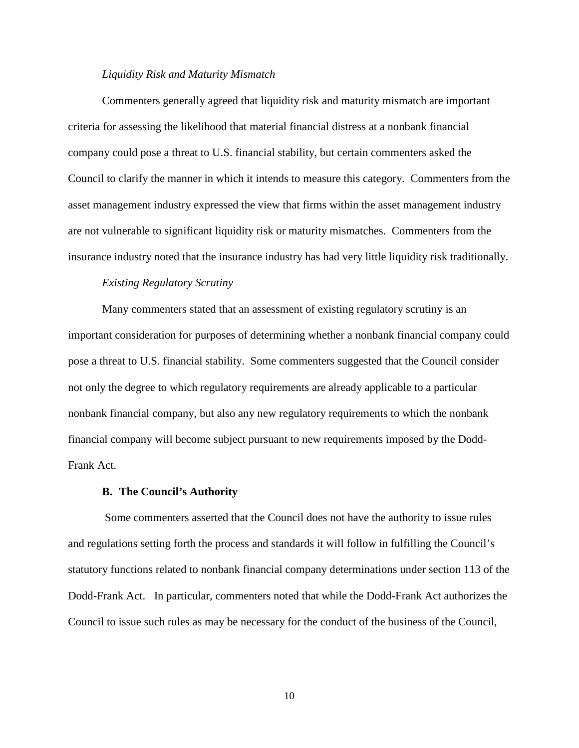#### *Liquidity Risk and Maturity Mismatch*

Commenters generally agreed that liquidity risk and maturity mismatch are important criteria for assessing the likelihood that material financial distress at a nonbank financial company could pose a threat to U.S. financial stability, but certain commenters asked the Council to clarify the manner in which it intends to measure this category. Commenters from the asset management industry expressed the view that firms within the asset management industry are not vulnerable to significant liquidity risk or maturity mismatches. Commenters from the insurance industry noted that the insurance industry has had very little liquidity risk traditionally.

## *Existing Regulatory Scrutiny*

Many commenters stated that an assessment of existing regulatory scrutiny is an important consideration for purposes of determining whether a nonbank financial company could pose a threat to U.S. financial stability. Some commenters suggested that the Council consider not only the degree to which regulatory requirements are already applicable to a particular nonbank financial company, but also any new regulatory requirements to which the nonbank financial company will become subject pursuant to new requirements imposed by the Dodd-Frank Act.

#### **B. The Council's Authority**

Some commenters asserted that the Council does not have the authority to issue rules and regulations setting forth the process and standards it will follow in fulfilling the Council's statutory functions related to nonbank financial company determinations under section 113 of the Dodd-Frank Act. In particular, commenters noted that while the Dodd-Frank Act authorizes the Council to issue such rules as may be necessary for the conduct of the business of the Council,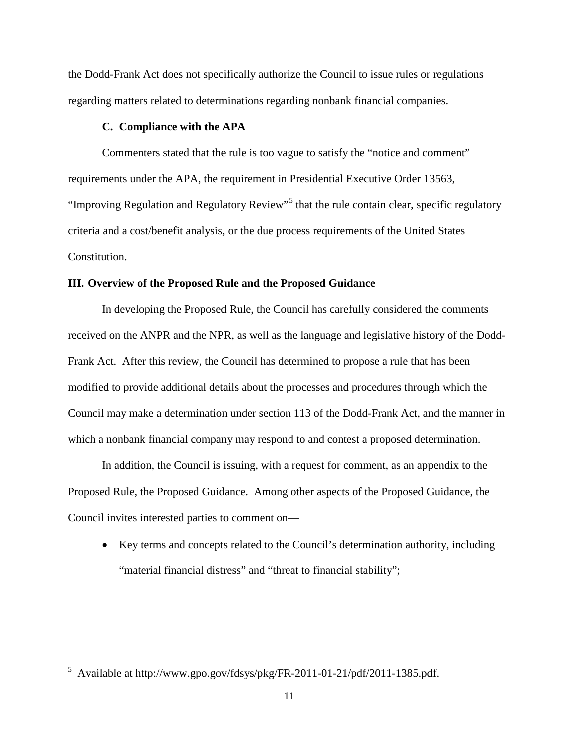the Dodd-Frank Act does not specifically authorize the Council to issue rules or regulations regarding matters related to determinations regarding nonbank financial companies.

## **C. Compliance with the APA**

Commenters stated that the rule is too vague to satisfy the "notice and comment" requirements under the APA, the requirement in Presidential Executive Order 13563, "Improving Regulation and Regulatory Review"<sup>[5](#page-7-0)</sup> that the rule contain clear, specific regulatory criteria and a cost/benefit analysis, or the due process requirements of the United States Constitution.

## **III. Overview of the Proposed Rule and the Proposed Guidance**

In developing the Proposed Rule, the Council has carefully considered the comments received on the ANPR and the NPR, as well as the language and legislative history of the Dodd-Frank Act. After this review, the Council has determined to propose a rule that has been modified to provide additional details about the processes and procedures through which the Council may make a determination under section 113 of the Dodd-Frank Act, and the manner in which a nonbank financial company may respond to and contest a proposed determination.

In addition, the Council is issuing, with a request for comment, as an appendix to the Proposed Rule, the Proposed Guidance. Among other aspects of the Proposed Guidance, the Council invites interested parties to comment on—

• Key terms and concepts related to the Council's determination authority, including "material financial distress" and "threat to financial stability";

<span id="page-10-0"></span> <sup>5</sup> Available at http://www.gpo.gov/fdsys/pkg/FR-2011-01-21/pdf/2011-1385.pdf.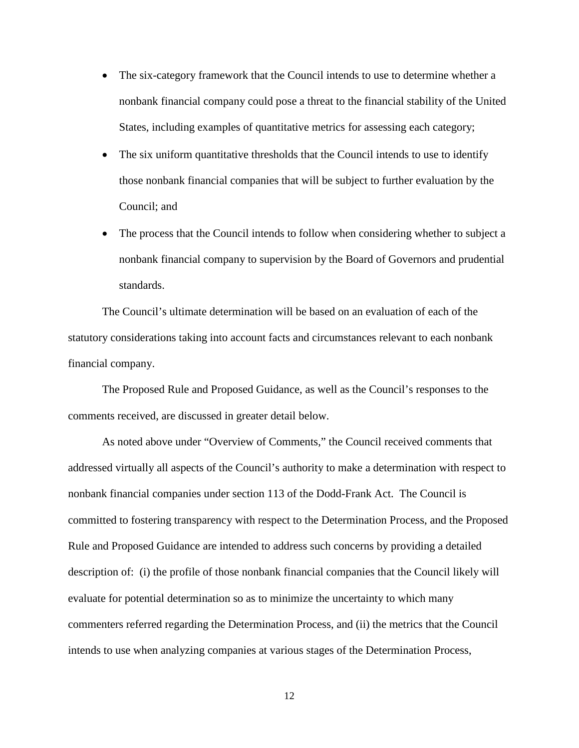- The six-category framework that the Council intends to use to determine whether a nonbank financial company could pose a threat to the financial stability of the United States, including examples of quantitative metrics for assessing each category;
- The six uniform quantitative thresholds that the Council intends to use to identify those nonbank financial companies that will be subject to further evaluation by the Council; and
- The process that the Council intends to follow when considering whether to subject a nonbank financial company to supervision by the Board of Governors and prudential standards.

The Council's ultimate determination will be based on an evaluation of each of the statutory considerations taking into account facts and circumstances relevant to each nonbank financial company.

The Proposed Rule and Proposed Guidance, as well as the Council's responses to the comments received, are discussed in greater detail below.

As noted above under "Overview of Comments," the Council received comments that addressed virtually all aspects of the Council's authority to make a determination with respect to nonbank financial companies under section 113 of the Dodd-Frank Act. The Council is committed to fostering transparency with respect to the Determination Process, and the Proposed Rule and Proposed Guidance are intended to address such concerns by providing a detailed description of: (i) the profile of those nonbank financial companies that the Council likely will evaluate for potential determination so as to minimize the uncertainty to which many commenters referred regarding the Determination Process, and (ii) the metrics that the Council intends to use when analyzing companies at various stages of the Determination Process,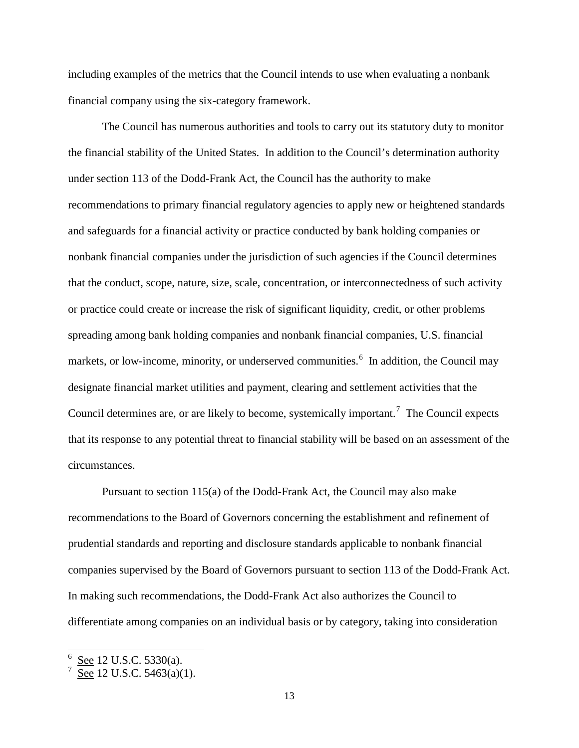including examples of the metrics that the Council intends to use when evaluating a nonbank financial company using the six-category framework.

The Council has numerous authorities and tools to carry out its statutory duty to monitor the financial stability of the United States. In addition to the Council's determination authority under section 113 of the Dodd-Frank Act, the Council has the authority to make recommendations to primary financial regulatory agencies to apply new or heightened standards and safeguards for a financial activity or practice conducted by bank holding companies or nonbank financial companies under the jurisdiction of such agencies if the Council determines that the conduct, scope, nature, size, scale, concentration, or interconnectedness of such activity or practice could create or increase the risk of significant liquidity, credit, or other problems spreading among bank holding companies and nonbank financial companies, U.S. financial markets, or low-income, minority, or underserved communities.<sup>[6](#page-10-0)</sup> In addition, the Council may designate financial market utilities and payment, clearing and settlement activities that the Council determines are, or are likely to become, systemically important.<sup>[7](#page-12-0)</sup> The Council expects that its response to any potential threat to financial stability will be based on an assessment of the circumstances.

Pursuant to section 115(a) of the Dodd-Frank Act, the Council may also make recommendations to the Board of Governors concerning the establishment and refinement of prudential standards and reporting and disclosure standards applicable to nonbank financial companies supervised by the Board of Governors pursuant to section 113 of the Dodd-Frank Act. In making such recommendations, the Dodd-Frank Act also authorizes the Council to differentiate among companies on an individual basis or by category, taking into consideration

<span id="page-12-1"></span><span id="page-12-0"></span>See 12 U.S.C. 5330(a).

See 12 U.S.C. 5463(a)(1).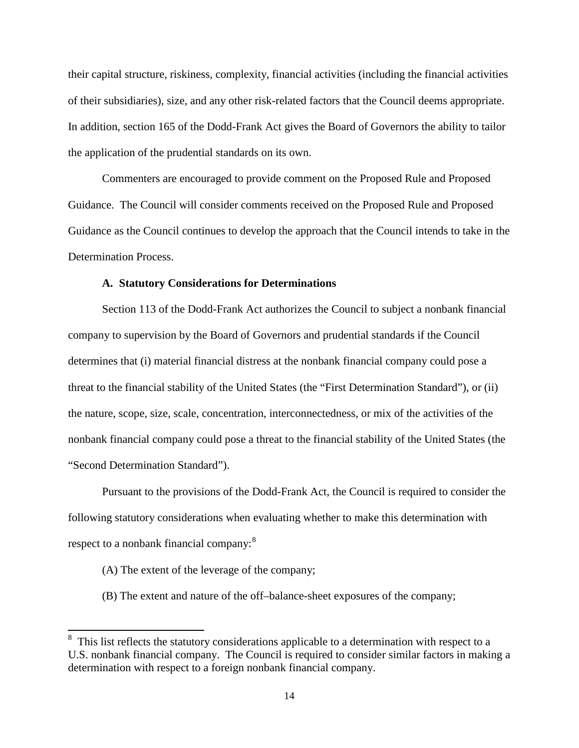their capital structure, riskiness, complexity, financial activities (including the financial activities of their subsidiaries), size, and any other risk-related factors that the Council deems appropriate. In addition, section 165 of the Dodd-Frank Act gives the Board of Governors the ability to tailor the application of the prudential standards on its own.

Commenters are encouraged to provide comment on the Proposed Rule and Proposed Guidance. The Council will consider comments received on the Proposed Rule and Proposed Guidance as the Council continues to develop the approach that the Council intends to take in the Determination Process.

## **A. Statutory Considerations for Determinations**

Section 113 of the Dodd-Frank Act authorizes the Council to subject a nonbank financial company to supervision by the Board of Governors and prudential standards if the Council determines that (i) material financial distress at the nonbank financial company could pose a threat to the financial stability of the United States (the "First Determination Standard"), or (ii) the nature, scope, size, scale, concentration, interconnectedness, or mix of the activities of the nonbank financial company could pose a threat to the financial stability of the United States (the "Second Determination Standard").

Pursuant to the provisions of the Dodd-Frank Act, the Council is required to consider the following statutory considerations when evaluating whether to make this determination with respect to a nonbank financial company:<sup>[8](#page-12-1)</sup>

- (A) The extent of the leverage of the company;
- (B) The extent and nature of the off–balance-sheet exposures of the company;

<span id="page-13-0"></span><sup>&</sup>lt;sup>8</sup> This list reflects the statutory considerations applicable to a determination with respect to a U.S. nonbank financial company. The Council is required to consider similar factors in making a determination with respect to a foreign nonbank financial company.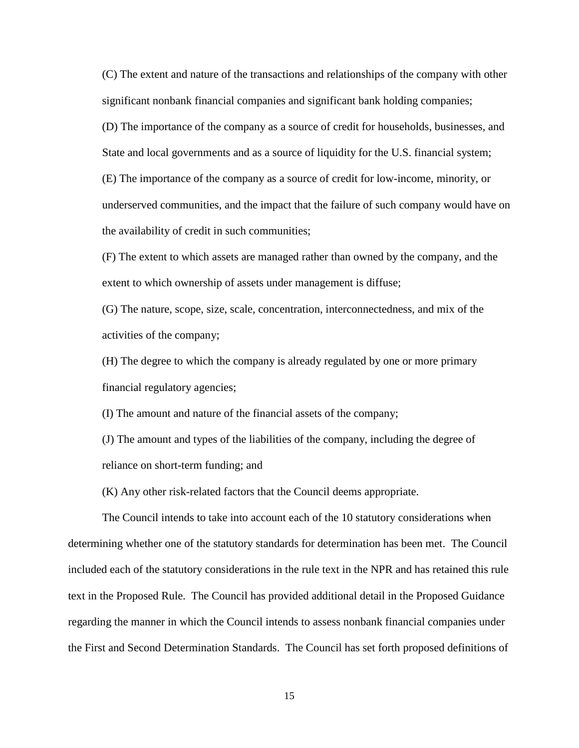(C) The extent and nature of the transactions and relationships of the company with other significant nonbank financial companies and significant bank holding companies; (D) The importance of the company as a source of credit for households, businesses, and State and local governments and as a source of liquidity for the U.S. financial system; (E) The importance of the company as a source of credit for low-income, minority, or underserved communities, and the impact that the failure of such company would have on the availability of credit in such communities;

(F) The extent to which assets are managed rather than owned by the company, and the extent to which ownership of assets under management is diffuse;

(G) The nature, scope, size, scale, concentration, interconnectedness, and mix of the activities of the company;

(H) The degree to which the company is already regulated by one or more primary financial regulatory agencies;

(I) The amount and nature of the financial assets of the company;

(J) The amount and types of the liabilities of the company, including the degree of reliance on short-term funding; and

(K) Any other risk-related factors that the Council deems appropriate.

The Council intends to take into account each of the 10 statutory considerations when determining whether one of the statutory standards for determination has been met. The Council included each of the statutory considerations in the rule text in the NPR and has retained this rule text in the Proposed Rule. The Council has provided additional detail in the Proposed Guidance regarding the manner in which the Council intends to assess nonbank financial companies under the First and Second Determination Standards. The Council has set forth proposed definitions of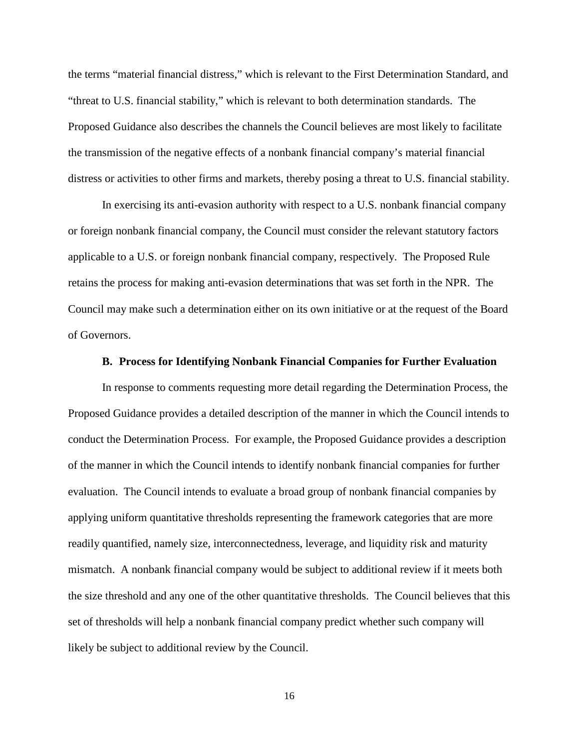the terms "material financial distress," which is relevant to the First Determination Standard, and "threat to U.S. financial stability," which is relevant to both determination standards. The Proposed Guidance also describes the channels the Council believes are most likely to facilitate the transmission of the negative effects of a nonbank financial company's material financial distress or activities to other firms and markets, thereby posing a threat to U.S. financial stability.

In exercising its anti-evasion authority with respect to a U.S. nonbank financial company or foreign nonbank financial company, the Council must consider the relevant statutory factors applicable to a U.S. or foreign nonbank financial company, respectively. The Proposed Rule retains the process for making anti-evasion determinations that was set forth in the NPR. The Council may make such a determination either on its own initiative or at the request of the Board of Governors.

## **B. Process for Identifying Nonbank Financial Companies for Further Evaluation**

In response to comments requesting more detail regarding the Determination Process, the Proposed Guidance provides a detailed description of the manner in which the Council intends to conduct the Determination Process. For example, the Proposed Guidance provides a description of the manner in which the Council intends to identify nonbank financial companies for further evaluation. The Council intends to evaluate a broad group of nonbank financial companies by applying uniform quantitative thresholds representing the framework categories that are more readily quantified, namely size, interconnectedness, leverage, and liquidity risk and maturity mismatch. A nonbank financial company would be subject to additional review if it meets both the size threshold and any one of the other quantitative thresholds. The Council believes that this set of thresholds will help a nonbank financial company predict whether such company will likely be subject to additional review by the Council.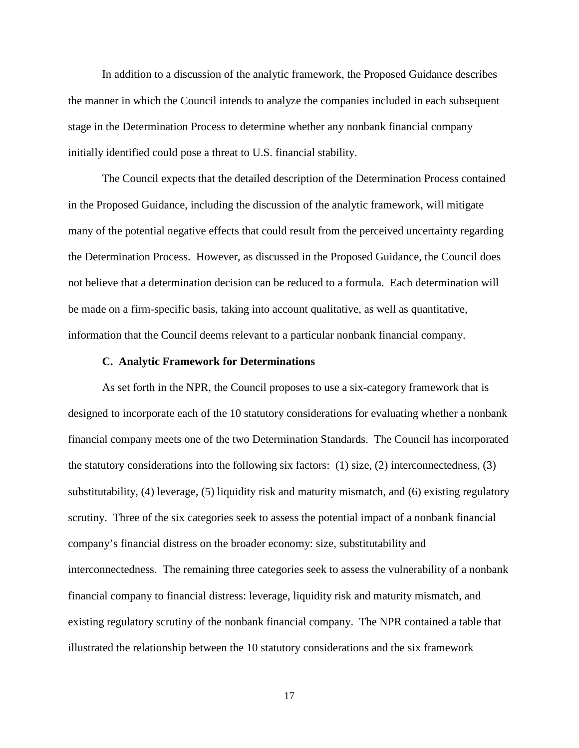In addition to a discussion of the analytic framework, the Proposed Guidance describes the manner in which the Council intends to analyze the companies included in each subsequent stage in the Determination Process to determine whether any nonbank financial company initially identified could pose a threat to U.S. financial stability.

The Council expects that the detailed description of the Determination Process contained in the Proposed Guidance, including the discussion of the analytic framework, will mitigate many of the potential negative effects that could result from the perceived uncertainty regarding the Determination Process. However, as discussed in the Proposed Guidance, the Council does not believe that a determination decision can be reduced to a formula. Each determination will be made on a firm-specific basis, taking into account qualitative, as well as quantitative, information that the Council deems relevant to a particular nonbank financial company.

## **C. Analytic Framework for Determinations**

As set forth in the NPR, the Council proposes to use a six-category framework that is designed to incorporate each of the 10 statutory considerations for evaluating whether a nonbank financial company meets one of the two Determination Standards. The Council has incorporated the statutory considerations into the following six factors:  $(1)$  size,  $(2)$  interconnectedness,  $(3)$ substitutability, (4) leverage, (5) liquidity risk and maturity mismatch, and (6) existing regulatory scrutiny. Three of the six categories seek to assess the potential impact of a nonbank financial company's financial distress on the broader economy: size, substitutability and interconnectedness. The remaining three categories seek to assess the vulnerability of a nonbank financial company to financial distress: leverage, liquidity risk and maturity mismatch, and existing regulatory scrutiny of the nonbank financial company. The NPR contained a table that illustrated the relationship between the 10 statutory considerations and the six framework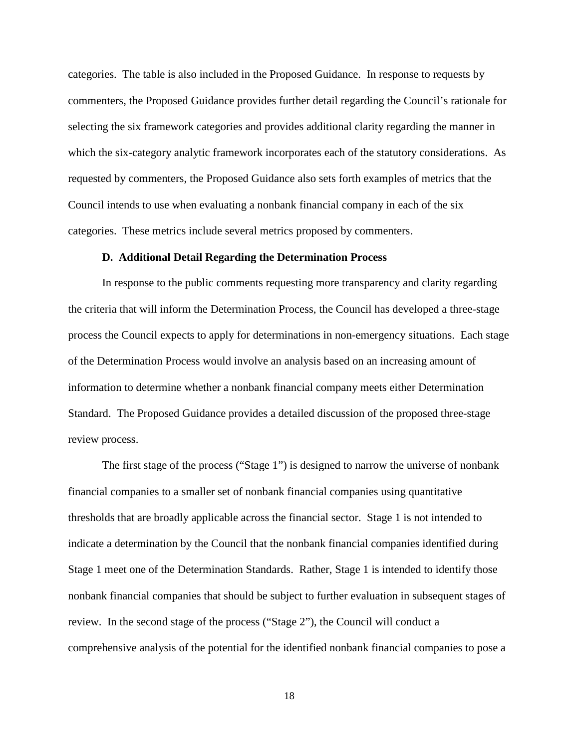categories. The table is also included in the Proposed Guidance. In response to requests by commenters, the Proposed Guidance provides further detail regarding the Council's rationale for selecting the six framework categories and provides additional clarity regarding the manner in which the six-category analytic framework incorporates each of the statutory considerations. As requested by commenters, the Proposed Guidance also sets forth examples of metrics that the Council intends to use when evaluating a nonbank financial company in each of the six categories. These metrics include several metrics proposed by commenters.

#### **D. Additional Detail Regarding the Determination Process**

In response to the public comments requesting more transparency and clarity regarding the criteria that will inform the Determination Process, the Council has developed a three-stage process the Council expects to apply for determinations in non-emergency situations. Each stage of the Determination Process would involve an analysis based on an increasing amount of information to determine whether a nonbank financial company meets either Determination Standard. The Proposed Guidance provides a detailed discussion of the proposed three-stage review process.

The first stage of the process ("Stage 1") is designed to narrow the universe of nonbank financial companies to a smaller set of nonbank financial companies using quantitative thresholds that are broadly applicable across the financial sector. Stage 1 is not intended to indicate a determination by the Council that the nonbank financial companies identified during Stage 1 meet one of the Determination Standards. Rather, Stage 1 is intended to identify those nonbank financial companies that should be subject to further evaluation in subsequent stages of review. In the second stage of the process ("Stage 2"), the Council will conduct a comprehensive analysis of the potential for the identified nonbank financial companies to pose a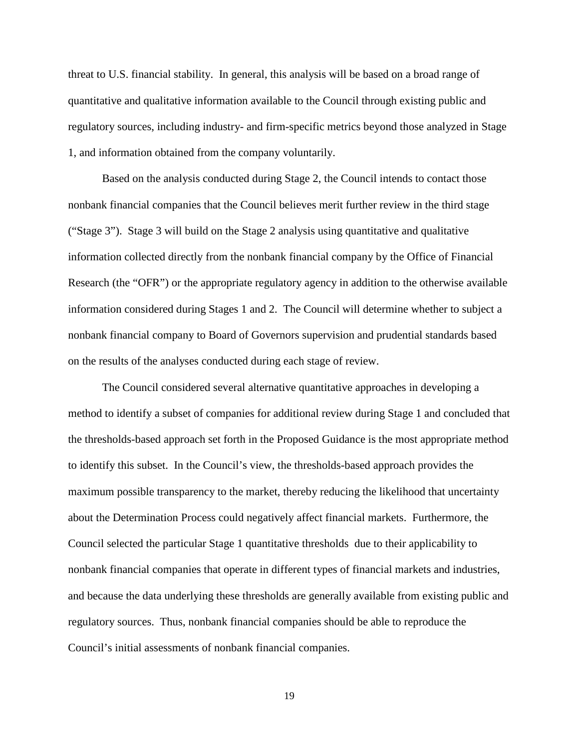threat to U.S. financial stability. In general, this analysis will be based on a broad range of quantitative and qualitative information available to the Council through existing public and regulatory sources, including industry- and firm-specific metrics beyond those analyzed in Stage 1, and information obtained from the company voluntarily.

Based on the analysis conducted during Stage 2, the Council intends to contact those nonbank financial companies that the Council believes merit further review in the third stage ("Stage 3"). Stage 3 will build on the Stage 2 analysis using quantitative and qualitative information collected directly from the nonbank financial company by the Office of Financial Research (the "OFR") or the appropriate regulatory agency in addition to the otherwise available information considered during Stages 1 and 2. The Council will determine whether to subject a nonbank financial company to Board of Governors supervision and prudential standards based on the results of the analyses conducted during each stage of review.

The Council considered several alternative quantitative approaches in developing a method to identify a subset of companies for additional review during Stage 1 and concluded that the thresholds-based approach set forth in the Proposed Guidance is the most appropriate method to identify this subset. In the Council's view, the thresholds-based approach provides the maximum possible transparency to the market, thereby reducing the likelihood that uncertainty about the Determination Process could negatively affect financial markets. Furthermore, the Council selected the particular Stage 1 quantitative thresholds due to their applicability to nonbank financial companies that operate in different types of financial markets and industries, and because the data underlying these thresholds are generally available from existing public and regulatory sources. Thus, nonbank financial companies should be able to reproduce the Council's initial assessments of nonbank financial companies.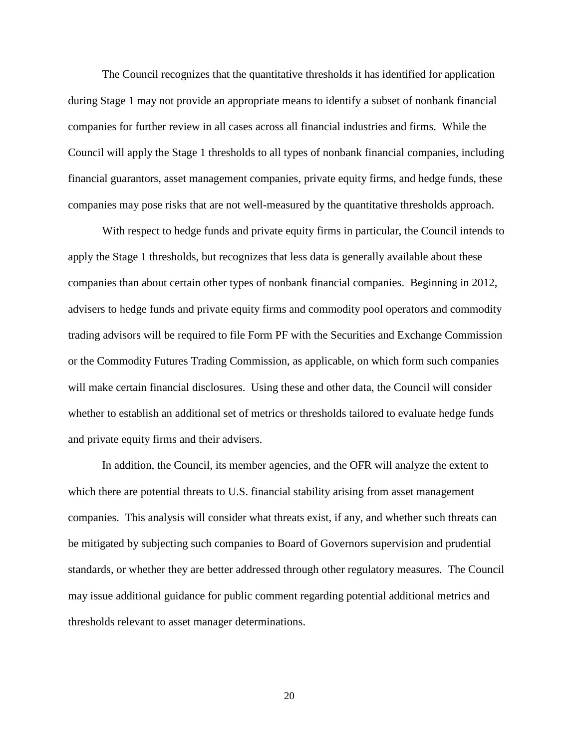The Council recognizes that the quantitative thresholds it has identified for application during Stage 1 may not provide an appropriate means to identify a subset of nonbank financial companies for further review in all cases across all financial industries and firms. While the Council will apply the Stage 1 thresholds to all types of nonbank financial companies, including financial guarantors, asset management companies, private equity firms, and hedge funds, these companies may pose risks that are not well-measured by the quantitative thresholds approach.

With respect to hedge funds and private equity firms in particular, the Council intends to apply the Stage 1 thresholds, but recognizes that less data is generally available about these companies than about certain other types of nonbank financial companies. Beginning in 2012, advisers to hedge funds and private equity firms and commodity pool operators and commodity trading advisors will be required to file Form PF with the Securities and Exchange Commission or the Commodity Futures Trading Commission, as applicable, on which form such companies will make certain financial disclosures. Using these and other data, the Council will consider whether to establish an additional set of metrics or thresholds tailored to evaluate hedge funds and private equity firms and their advisers.

In addition, the Council, its member agencies, and the OFR will analyze the extent to which there are potential threats to U.S. financial stability arising from asset management companies. This analysis will consider what threats exist, if any, and whether such threats can be mitigated by subjecting such companies to Board of Governors supervision and prudential standards, or whether they are better addressed through other regulatory measures. The Council may issue additional guidance for public comment regarding potential additional metrics and thresholds relevant to asset manager determinations.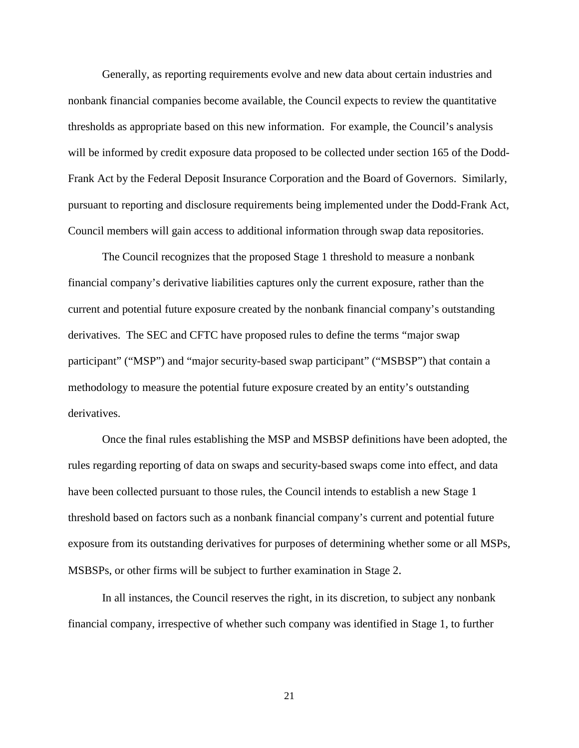Generally, as reporting requirements evolve and new data about certain industries and nonbank financial companies become available, the Council expects to review the quantitative thresholds as appropriate based on this new information. For example, the Council's analysis will be informed by credit exposure data proposed to be collected under section 165 of the Dodd-Frank Act by the Federal Deposit Insurance Corporation and the Board of Governors. Similarly, pursuant to reporting and disclosure requirements being implemented under the Dodd-Frank Act, Council members will gain access to additional information through swap data repositories.

The Council recognizes that the proposed Stage 1 threshold to measure a nonbank financial company's derivative liabilities captures only the current exposure, rather than the current and potential future exposure created by the nonbank financial company's outstanding derivatives. The SEC and CFTC have proposed rules to define the terms "major swap participant" ("MSP") and "major security-based swap participant" ("MSBSP") that contain a methodology to measure the potential future exposure created by an entity's outstanding derivatives.

Once the final rules establishing the MSP and MSBSP definitions have been adopted, the rules regarding reporting of data on swaps and security-based swaps come into effect, and data have been collected pursuant to those rules, the Council intends to establish a new Stage 1 threshold based on factors such as a nonbank financial company's current and potential future exposure from its outstanding derivatives for purposes of determining whether some or all MSPs, MSBSPs, or other firms will be subject to further examination in Stage 2.

In all instances, the Council reserves the right, in its discretion, to subject any nonbank financial company, irrespective of whether such company was identified in Stage 1, to further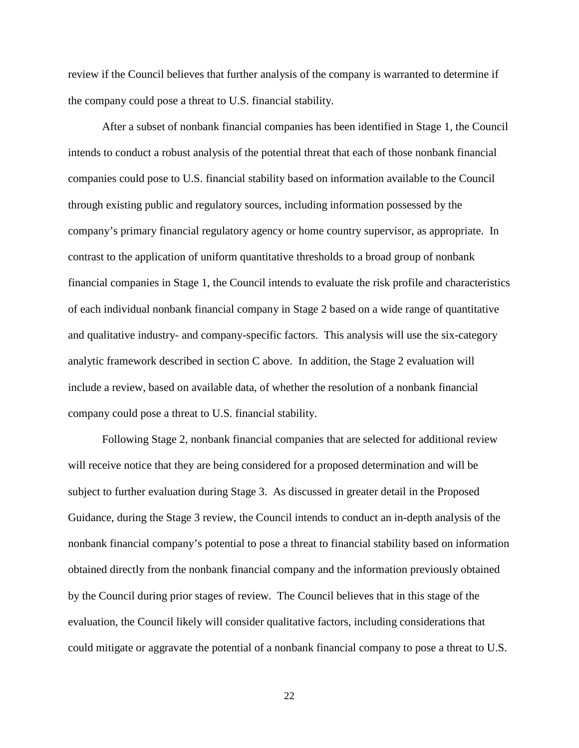review if the Council believes that further analysis of the company is warranted to determine if the company could pose a threat to U.S. financial stability.

After a subset of nonbank financial companies has been identified in Stage 1, the Council intends to conduct a robust analysis of the potential threat that each of those nonbank financial companies could pose to U.S. financial stability based on information available to the Council through existing public and regulatory sources, including information possessed by the company's primary financial regulatory agency or home country supervisor, as appropriate. In contrast to the application of uniform quantitative thresholds to a broad group of nonbank financial companies in Stage 1, the Council intends to evaluate the risk profile and characteristics of each individual nonbank financial company in Stage 2 based on a wide range of quantitative and qualitative industry- and company-specific factors. This analysis will use the six-category analytic framework described in section C above. In addition, the Stage 2 evaluation will include a review, based on available data, of whether the resolution of a nonbank financial company could pose a threat to U.S. financial stability.

Following Stage 2, nonbank financial companies that are selected for additional review will receive notice that they are being considered for a proposed determination and will be subject to further evaluation during Stage 3. As discussed in greater detail in the Proposed Guidance, during the Stage 3 review, the Council intends to conduct an in-depth analysis of the nonbank financial company's potential to pose a threat to financial stability based on information obtained directly from the nonbank financial company and the information previously obtained by the Council during prior stages of review. The Council believes that in this stage of the evaluation, the Council likely will consider qualitative factors, including considerations that could mitigate or aggravate the potential of a nonbank financial company to pose a threat to U.S.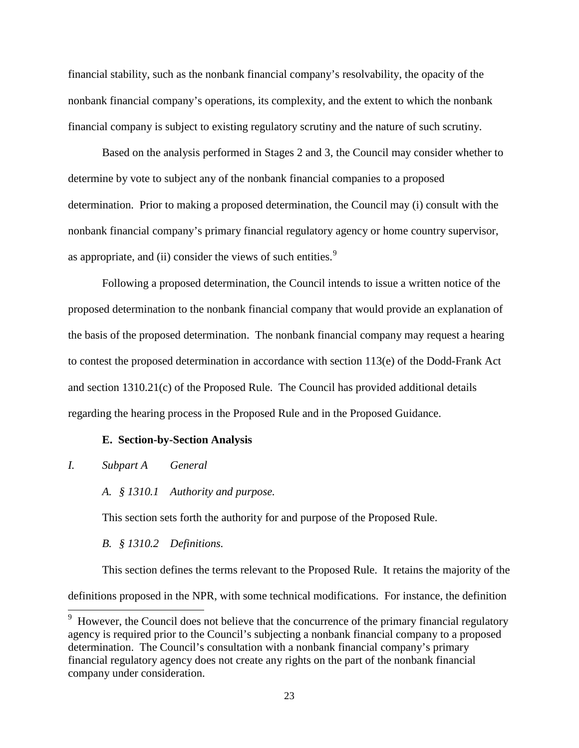financial stability, such as the nonbank financial company's resolvability, the opacity of the nonbank financial company's operations, its complexity, and the extent to which the nonbank financial company is subject to existing regulatory scrutiny and the nature of such scrutiny.

Based on the analysis performed in Stages 2 and 3, the Council may consider whether to determine by vote to subject any of the nonbank financial companies to a proposed determination. Prior to making a proposed determination, the Council may (i) consult with the nonbank financial company's primary financial regulatory agency or home country supervisor, as appropriate, and (ii) consider the views of such entities.<sup>[9](#page-13-0)</sup>

Following a proposed determination, the Council intends to issue a written notice of the proposed determination to the nonbank financial company that would provide an explanation of the basis of the proposed determination. The nonbank financial company may request a hearing to contest the proposed determination in accordance with section 113(e) of the Dodd-Frank Act and section 1310.21(c) of the Proposed Rule. The Council has provided additional details regarding the hearing process in the Proposed Rule and in the Proposed Guidance.

## **E. Section-by-Section Analysis**

## *I. Subpart A General*

*A. § 1310.1 Authority and purpose.*

This section sets forth the authority for and purpose of the Proposed Rule.

*B. § 1310.2 Definitions.*

This section defines the terms relevant to the Proposed Rule. It retains the majority of the definitions proposed in the NPR, with some technical modifications. For instance, the definition

<span id="page-22-0"></span><sup>&</sup>lt;sup>9</sup> However, the Council does not believe that the concurrence of the primary financial regulatory agency is required prior to the Council's subjecting a nonbank financial company to a proposed determination. The Council's consultation with a nonbank financial company's primary financial regulatory agency does not create any rights on the part of the nonbank financial company under consideration.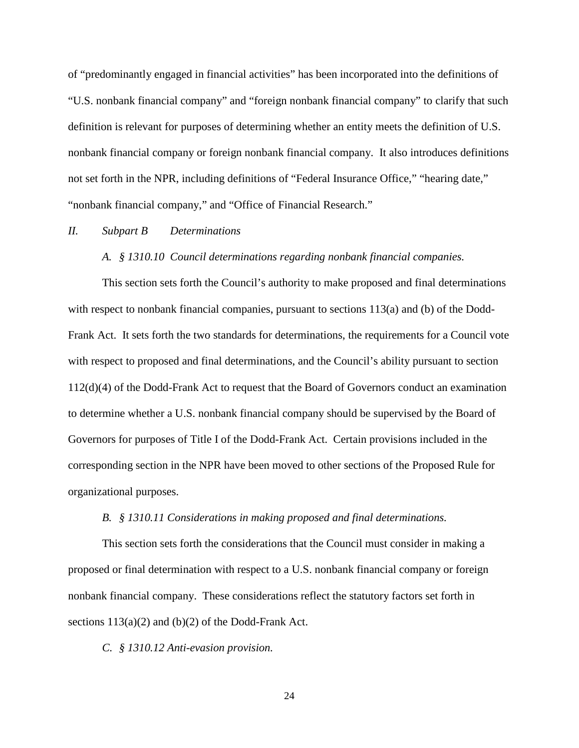of "predominantly engaged in financial activities" has been incorporated into the definitions of "U.S. nonbank financial company" and "foreign nonbank financial company" to clarify that such definition is relevant for purposes of determining whether an entity meets the definition of U.S. nonbank financial company or foreign nonbank financial company. It also introduces definitions not set forth in the NPR, including definitions of "Federal Insurance Office," "hearing date," "nonbank financial company," and "Office of Financial Research."

## *II. Subpart B Determinations*

## *A. § 1310.10 Council determinations regarding nonbank financial companies.*

This section sets forth the Council's authority to make proposed and final determinations with respect to nonbank financial companies, pursuant to sections 113(a) and (b) of the Dodd-Frank Act. It sets forth the two standards for determinations, the requirements for a Council vote with respect to proposed and final determinations, and the Council's ability pursuant to section 112(d)(4) of the Dodd-Frank Act to request that the Board of Governors conduct an examination to determine whether a U.S. nonbank financial company should be supervised by the Board of Governors for purposes of Title I of the Dodd-Frank Act. Certain provisions included in the corresponding section in the NPR have been moved to other sections of the Proposed Rule for organizational purposes.

### *B. § 1310.11 Considerations in making proposed and final determinations.*

This section sets forth the considerations that the Council must consider in making a proposed or final determination with respect to a U.S. nonbank financial company or foreign nonbank financial company. These considerations reflect the statutory factors set forth in sections  $113(a)(2)$  and  $(b)(2)$  of the Dodd-Frank Act.

*C. § 1310.12 Anti-evasion provision.*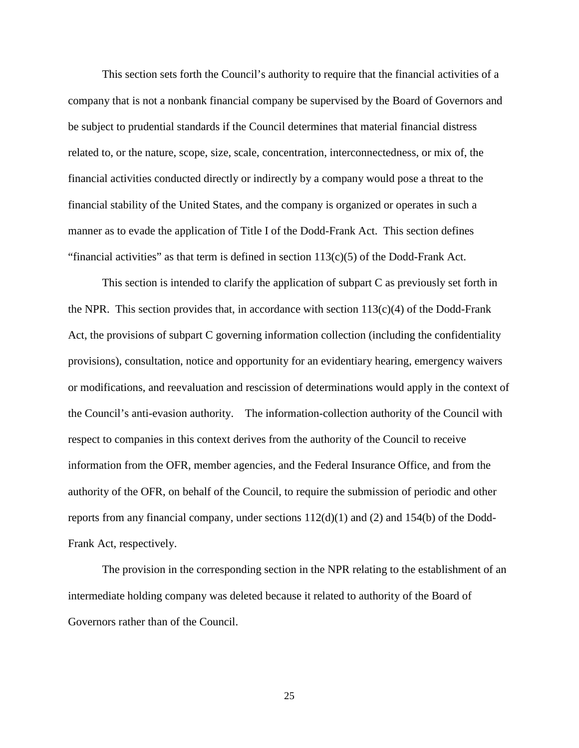This section sets forth the Council's authority to require that the financial activities of a company that is not a nonbank financial company be supervised by the Board of Governors and be subject to prudential standards if the Council determines that material financial distress related to, or the nature, scope, size, scale, concentration, interconnectedness, or mix of, the financial activities conducted directly or indirectly by a company would pose a threat to the financial stability of the United States, and the company is organized or operates in such a manner as to evade the application of Title I of the Dodd-Frank Act. This section defines "financial activities" as that term is defined in section  $113(c)(5)$  of the Dodd-Frank Act.

This section is intended to clarify the application of subpart C as previously set forth in the NPR. This section provides that, in accordance with section  $113(c)(4)$  of the Dodd-Frank Act, the provisions of subpart C governing information collection (including the confidentiality provisions), consultation, notice and opportunity for an evidentiary hearing, emergency waivers or modifications, and reevaluation and rescission of determinations would apply in the context of the Council's anti-evasion authority. The information-collection authority of the Council with respect to companies in this context derives from the authority of the Council to receive information from the OFR, member agencies, and the Federal Insurance Office, and from the authority of the OFR, on behalf of the Council, to require the submission of periodic and other reports from any financial company, under sections 112(d)(1) and (2) and 154(b) of the Dodd-Frank Act, respectively.

The provision in the corresponding section in the NPR relating to the establishment of an intermediate holding company was deleted because it related to authority of the Board of Governors rather than of the Council.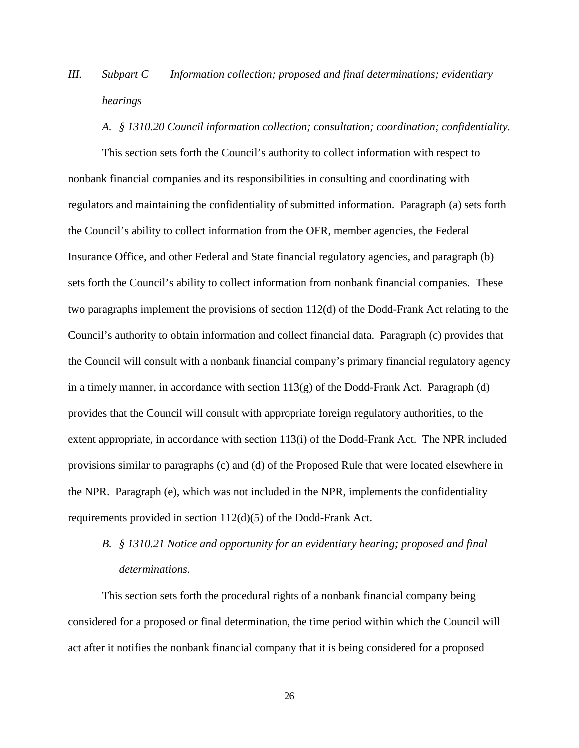# *III. Subpart C Information collection; proposed and final determinations; evidentiary hearings*

#### *A. § 1310.20 Council information collection; consultation; coordination; confidentiality.*

This section sets forth the Council's authority to collect information with respect to nonbank financial companies and its responsibilities in consulting and coordinating with regulators and maintaining the confidentiality of submitted information. Paragraph (a) sets forth the Council's ability to collect information from the OFR, member agencies, the Federal Insurance Office, and other Federal and State financial regulatory agencies, and paragraph (b) sets forth the Council's ability to collect information from nonbank financial companies. These two paragraphs implement the provisions of section 112(d) of the Dodd-Frank Act relating to the Council's authority to obtain information and collect financial data. Paragraph (c) provides that the Council will consult with a nonbank financial company's primary financial regulatory agency in a timely manner, in accordance with section  $113(g)$  of the Dodd-Frank Act. Paragraph (d) provides that the Council will consult with appropriate foreign regulatory authorities, to the extent appropriate, in accordance with section 113(i) of the Dodd-Frank Act. The NPR included provisions similar to paragraphs (c) and (d) of the Proposed Rule that were located elsewhere in the NPR. Paragraph (e), which was not included in the NPR, implements the confidentiality requirements provided in section 112(d)(5) of the Dodd-Frank Act.

# *B. § 1310.21 Notice and opportunity for an evidentiary hearing; proposed and final determinations.*

This section sets forth the procedural rights of a nonbank financial company being considered for a proposed or final determination, the time period within which the Council will act after it notifies the nonbank financial company that it is being considered for a proposed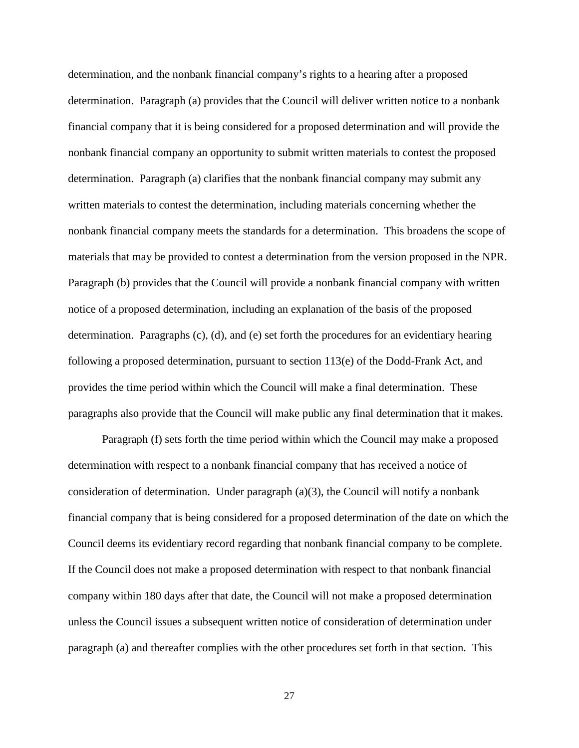determination, and the nonbank financial company's rights to a hearing after a proposed determination. Paragraph (a) provides that the Council will deliver written notice to a nonbank financial company that it is being considered for a proposed determination and will provide the nonbank financial company an opportunity to submit written materials to contest the proposed determination. Paragraph (a) clarifies that the nonbank financial company may submit any written materials to contest the determination, including materials concerning whether the nonbank financial company meets the standards for a determination. This broadens the scope of materials that may be provided to contest a determination from the version proposed in the NPR. Paragraph (b) provides that the Council will provide a nonbank financial company with written notice of a proposed determination, including an explanation of the basis of the proposed determination. Paragraphs (c), (d), and (e) set forth the procedures for an evidentiary hearing following a proposed determination, pursuant to section  $113(e)$  of the Dodd-Frank Act, and provides the time period within which the Council will make a final determination. These paragraphs also provide that the Council will make public any final determination that it makes.

Paragraph (f) sets forth the time period within which the Council may make a proposed determination with respect to a nonbank financial company that has received a notice of consideration of determination. Under paragraph (a)(3), the Council will notify a nonbank financial company that is being considered for a proposed determination of the date on which the Council deems its evidentiary record regarding that nonbank financial company to be complete. If the Council does not make a proposed determination with respect to that nonbank financial company within 180 days after that date, the Council will not make a proposed determination unless the Council issues a subsequent written notice of consideration of determination under paragraph (a) and thereafter complies with the other procedures set forth in that section. This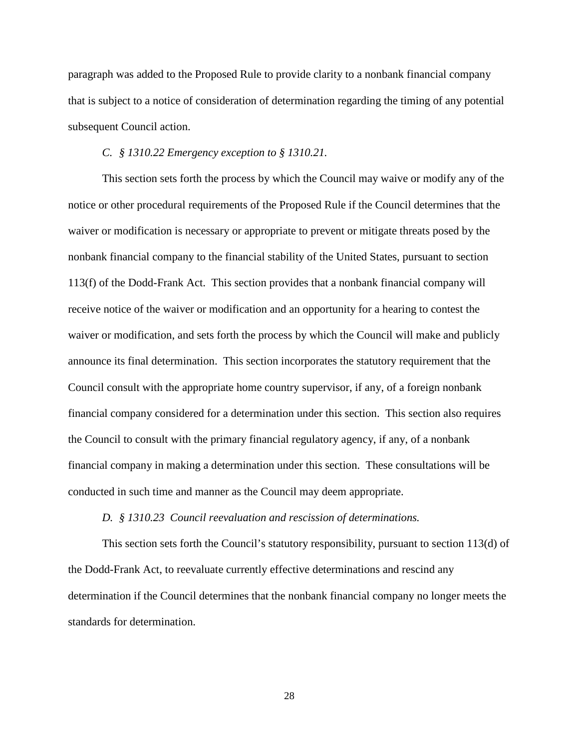paragraph was added to the Proposed Rule to provide clarity to a nonbank financial company that is subject to a notice of consideration of determination regarding the timing of any potential subsequent Council action.

## *C. § 1310.22 Emergency exception to § 1310.21.*

This section sets forth the process by which the Council may waive or modify any of the notice or other procedural requirements of the Proposed Rule if the Council determines that the waiver or modification is necessary or appropriate to prevent or mitigate threats posed by the nonbank financial company to the financial stability of the United States, pursuant to section 113(f) of the Dodd-Frank Act. This section provides that a nonbank financial company will receive notice of the waiver or modification and an opportunity for a hearing to contest the waiver or modification, and sets forth the process by which the Council will make and publicly announce its final determination. This section incorporates the statutory requirement that the Council consult with the appropriate home country supervisor, if any, of a foreign nonbank financial company considered for a determination under this section. This section also requires the Council to consult with the primary financial regulatory agency, if any, of a nonbank financial company in making a determination under this section. These consultations will be conducted in such time and manner as the Council may deem appropriate.

### *D. § 1310.23 Council reevaluation and rescission of determinations.*

This section sets forth the Council's statutory responsibility, pursuant to section 113(d) of the Dodd-Frank Act, to reevaluate currently effective determinations and rescind any determination if the Council determines that the nonbank financial company no longer meets the standards for determination.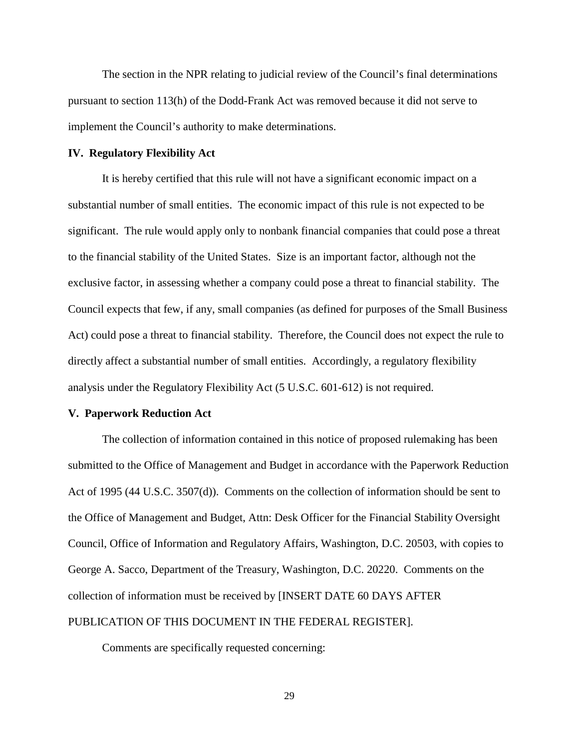The section in the NPR relating to judicial review of the Council's final determinations pursuant to section 113(h) of the Dodd-Frank Act was removed because it did not serve to implement the Council's authority to make determinations.

## **IV. Regulatory Flexibility Act**

It is hereby certified that this rule will not have a significant economic impact on a substantial number of small entities. The economic impact of this rule is not expected to be significant. The rule would apply only to nonbank financial companies that could pose a threat to the financial stability of the United States. Size is an important factor, although not the exclusive factor, in assessing whether a company could pose a threat to financial stability. The Council expects that few, if any, small companies (as defined for purposes of the Small Business Act) could pose a threat to financial stability. Therefore, the Council does not expect the rule to directly affect a substantial number of small entities. Accordingly, a regulatory flexibility analysis under the Regulatory Flexibility Act (5 U.S.C. 601-612) is not required.

### **V. Paperwork Reduction Act**

The collection of information contained in this notice of proposed rulemaking has been submitted to the Office of Management and Budget in accordance with the Paperwork Reduction Act of 1995 (44 U.S.C. 3507(d)). Comments on the collection of information should be sent to the Office of Management and Budget, Attn: Desk Officer for the Financial Stability Oversight Council, Office of Information and Regulatory Affairs, Washington, D.C. 20503, with copies to George A. Sacco, Department of the Treasury, Washington, D.C. 20220. Comments on the collection of information must be received by [INSERT DATE 60 DAYS AFTER PUBLICATION OF THIS DOCUMENT IN THE FEDERAL REGISTER].

Comments are specifically requested concerning: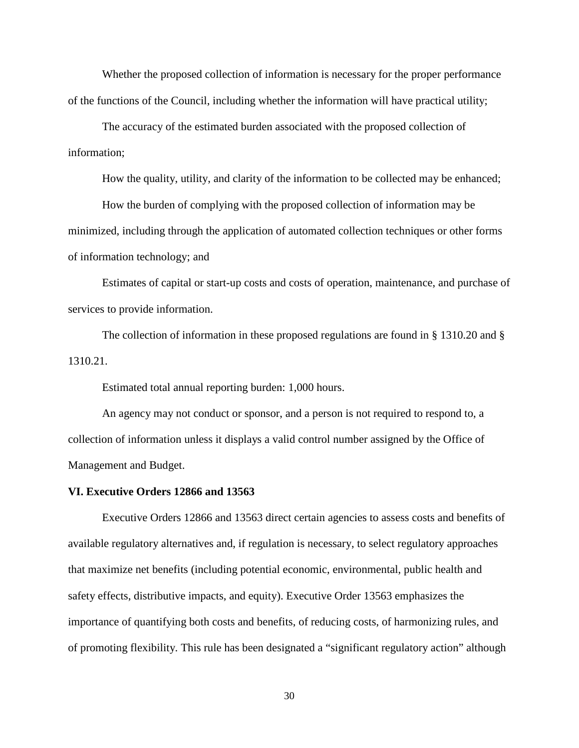Whether the proposed collection of information is necessary for the proper performance of the functions of the Council, including whether the information will have practical utility;

The accuracy of the estimated burden associated with the proposed collection of information;

How the quality, utility, and clarity of the information to be collected may be enhanced;

How the burden of complying with the proposed collection of information may be minimized, including through the application of automated collection techniques or other forms of information technology; and

Estimates of capital or start-up costs and costs of operation, maintenance, and purchase of services to provide information.

The collection of information in these proposed regulations are found in § 1310.20 and § 1310.21.

Estimated total annual reporting burden: 1,000 hours.

An agency may not conduct or sponsor, and a person is not required to respond to, a collection of information unless it displays a valid control number assigned by the Office of Management and Budget.

## **VI. Executive Orders 12866 and 13563**

Executive Orders 12866 and 13563 direct certain agencies to assess costs and benefits of available regulatory alternatives and, if regulation is necessary, to select regulatory approaches that maximize net benefits (including potential economic, environmental, public health and safety effects, distributive impacts, and equity). Executive Order 13563 emphasizes the importance of quantifying both costs and benefits, of reducing costs, of harmonizing rules, and of promoting flexibility. This rule has been designated a "significant regulatory action" although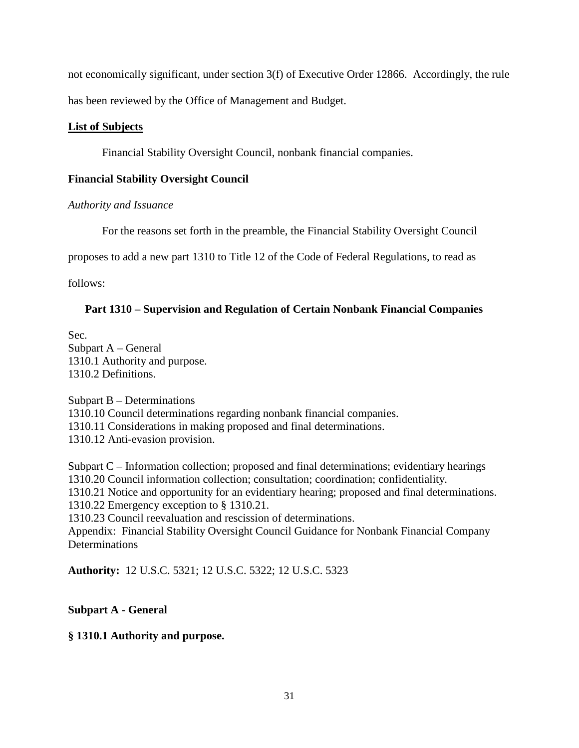not economically significant, under section 3(f) of Executive Order 12866. Accordingly, the rule has been reviewed by the Office of Management and Budget.

# **List of Subjects**

Financial Stability Oversight Council, nonbank financial companies.

# **Financial Stability Oversight Council**

# *Authority and Issuance*

For the reasons set forth in the preamble, the Financial Stability Oversight Council

proposes to add a new part 1310 to Title 12 of the Code of Federal Regulations, to read as

follows:

# **Part 1310 – Supervision and Regulation of Certain Nonbank Financial Companies**

Sec. Subpart A – General 1310.1 Authority and purpose. 1310.2 Definitions.

Subpart B – Determinations 1310.10 Council determinations regarding nonbank financial companies. 1310.11 Considerations in making proposed and final determinations. 1310.12 Anti-evasion provision.

Subpart C – Information collection; proposed and final determinations; evidentiary hearings 1310.20 Council information collection; consultation; coordination; confidentiality. 1310.21 Notice and opportunity for an evidentiary hearing; proposed and final determinations. 1310.22 Emergency exception to § 1310.21.

1310.23 Council reevaluation and rescission of determinations.

Appendix: Financial Stability Oversight Council Guidance for Nonbank Financial Company **Determinations** 

**Authority:** 12 U.S.C. 5321; 12 U.S.C. 5322; 12 U.S.C. 5323

# **Subpart A - General**

**§ 1310.1 Authority and purpose.**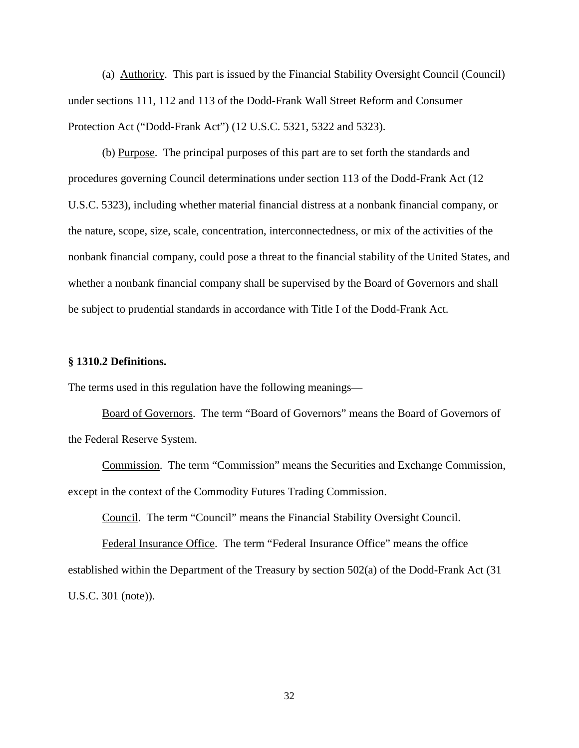(a) Authority. This part is issued by the Financial Stability Oversight Council (Council) under sections 111, 112 and 113 of the Dodd-Frank Wall Street Reform and Consumer Protection Act ("Dodd-Frank Act") (12 U.S.C. 5321, 5322 and 5323).

(b) Purpose. The principal purposes of this part are to set forth the standards and procedures governing Council determinations under section 113 of the Dodd-Frank Act (12 U.S.C. 5323), including whether material financial distress at a nonbank financial company, or the nature, scope, size, scale, concentration, interconnectedness, or mix of the activities of the nonbank financial company, could pose a threat to the financial stability of the United States, and whether a nonbank financial company shall be supervised by the Board of Governors and shall be subject to prudential standards in accordance with Title I of the Dodd-Frank Act.

## **§ 1310.2 Definitions.**

The terms used in this regulation have the following meanings—

Board of Governors. The term "Board of Governors" means the Board of Governors of the Federal Reserve System.

Commission. The term "Commission" means the Securities and Exchange Commission, except in the context of the Commodity Futures Trading Commission.

Council. The term "Council" means the Financial Stability Oversight Council.

Federal Insurance Office. The term "Federal Insurance Office" means the office established within the Department of the Treasury by section 502(a) of the Dodd-Frank Act (31 U.S.C. 301 (note)).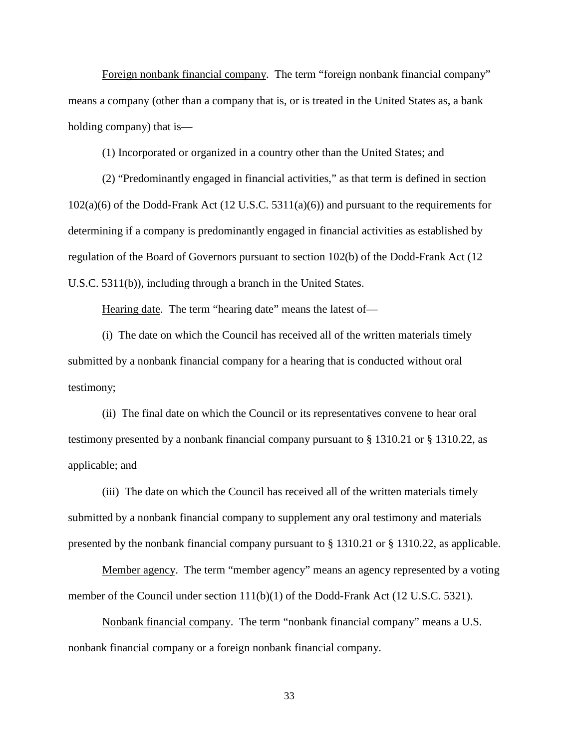Foreign nonbank financial company. The term "foreign nonbank financial company" means a company (other than a company that is, or is treated in the United States as, a bank holding company) that is—

(1) Incorporated or organized in a country other than the United States; and

(2) "Predominantly engaged in financial activities," as that term is defined in section 102(a)(6) of the Dodd-Frank Act (12 U.S.C. 5311(a)(6)) and pursuant to the requirements for determining if a company is predominantly engaged in financial activities as established by regulation of the Board of Governors pursuant to section 102(b) of the Dodd-Frank Act (12 U.S.C. 5311(b)), including through a branch in the United States.

Hearing date. The term "hearing date" means the latest of—

(i) The date on which the Council has received all of the written materials timely submitted by a nonbank financial company for a hearing that is conducted without oral testimony;

(ii) The final date on which the Council or its representatives convene to hear oral testimony presented by a nonbank financial company pursuant to § 1310.21 or § 1310.22, as applicable; and

(iii) The date on which the Council has received all of the written materials timely submitted by a nonbank financial company to supplement any oral testimony and materials presented by the nonbank financial company pursuant to § 1310.21 or § 1310.22, as applicable.

Member agency. The term "member agency" means an agency represented by a voting member of the Council under section 111(b)(1) of the Dodd-Frank Act (12 U.S.C. 5321).

Nonbank financial company. The term "nonbank financial company" means a U.S. nonbank financial company or a foreign nonbank financial company.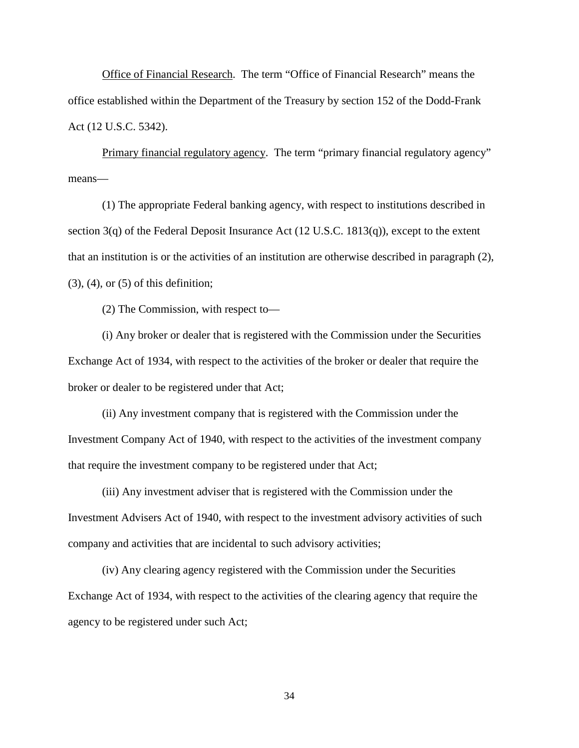Office of Financial Research. The term "Office of Financial Research" means the office established within the Department of the Treasury by section 152 of the Dodd-Frank Act (12 U.S.C. 5342).

Primary financial regulatory agency. The term "primary financial regulatory agency" means—

(1) The appropriate Federal banking agency, with respect to institutions described in section 3(q) of the Federal Deposit Insurance Act (12 U.S.C. 1813(q)), except to the extent that an institution is or the activities of an institution are otherwise described in paragraph (2),  $(3)$ ,  $(4)$ , or  $(5)$  of this definition;

(2) The Commission, with respect to—

(i) Any broker or dealer that is registered with the Commission under the Securities Exchange Act of 1934, with respect to the activities of the broker or dealer that require the broker or dealer to be registered under that Act;

(ii) Any investment company that is registered with the Commission under the Investment Company Act of 1940, with respect to the activities of the investment company that require the investment company to be registered under that Act;

(iii) Any investment adviser that is registered with the Commission under the Investment Advisers Act of 1940, with respect to the investment advisory activities of such company and activities that are incidental to such advisory activities;

(iv) Any clearing agency registered with the Commission under the Securities Exchange Act of 1934, with respect to the activities of the clearing agency that require the agency to be registered under such Act;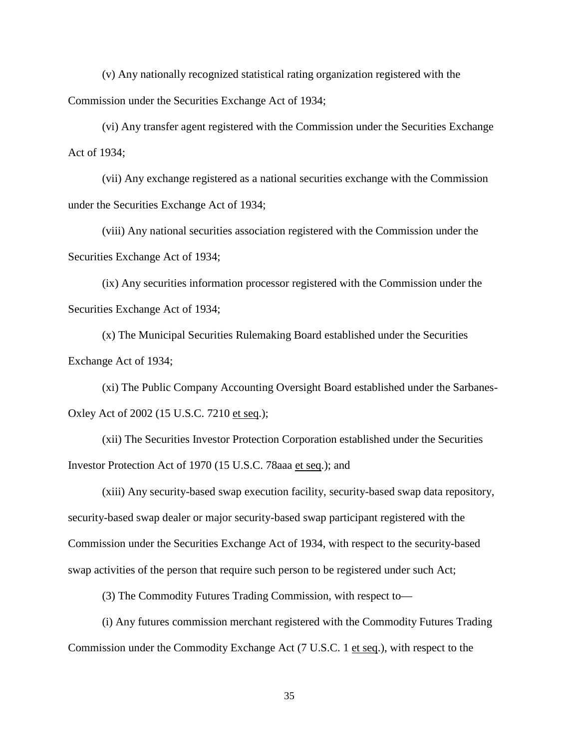(v) Any nationally recognized statistical rating organization registered with the Commission under the Securities Exchange Act of 1934;

(vi) Any transfer agent registered with the Commission under the Securities Exchange Act of 1934;

(vii) Any exchange registered as a national securities exchange with the Commission under the Securities Exchange Act of 1934;

(viii) Any national securities association registered with the Commission under the Securities Exchange Act of 1934;

(ix) Any securities information processor registered with the Commission under the Securities Exchange Act of 1934;

(x) The Municipal Securities Rulemaking Board established under the Securities Exchange Act of 1934;

(xi) The Public Company Accounting Oversight Board established under the Sarbanes-Oxley Act of 2002 (15 U.S.C. 7210 et seq.);

(xii) The Securities Investor Protection Corporation established under the Securities Investor Protection Act of 1970 (15 U.S.C. 78aaa et seq.); and

(xiii) Any security-based swap execution facility, security-based swap data repository, security-based swap dealer or major security-based swap participant registered with the Commission under the Securities Exchange Act of 1934, with respect to the security-based swap activities of the person that require such person to be registered under such Act;

(3) The Commodity Futures Trading Commission, with respect to—

(i) Any futures commission merchant registered with the Commodity Futures Trading Commission under the Commodity Exchange Act (7 U.S.C. 1 et seq.), with respect to the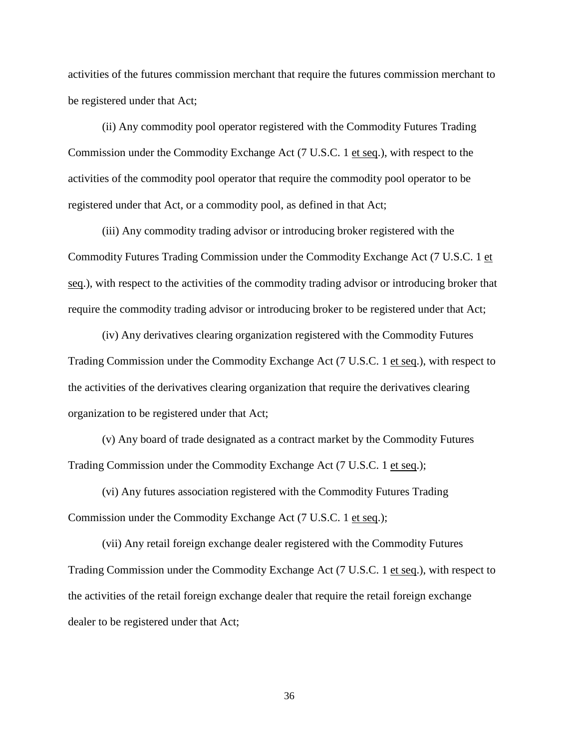activities of the futures commission merchant that require the futures commission merchant to be registered under that Act;

(ii) Any commodity pool operator registered with the Commodity Futures Trading Commission under the Commodity Exchange Act (7 U.S.C. 1 et seq.), with respect to the activities of the commodity pool operator that require the commodity pool operator to be registered under that Act, or a commodity pool, as defined in that Act;

(iii) Any commodity trading advisor or introducing broker registered with the Commodity Futures Trading Commission under the Commodity Exchange Act (7 U.S.C. 1 et seq.), with respect to the activities of the commodity trading advisor or introducing broker that require the commodity trading advisor or introducing broker to be registered under that Act;

(iv) Any derivatives clearing organization registered with the Commodity Futures Trading Commission under the Commodity Exchange Act (7 U.S.C. 1 et seq.), with respect to the activities of the derivatives clearing organization that require the derivatives clearing organization to be registered under that Act;

(v) Any board of trade designated as a contract market by the Commodity Futures Trading Commission under the Commodity Exchange Act (7 U.S.C. 1 et seq.);

(vi) Any futures association registered with the Commodity Futures Trading Commission under the Commodity Exchange Act (7 U.S.C. 1 et seq.);

(vii) Any retail foreign exchange dealer registered with the Commodity Futures Trading Commission under the Commodity Exchange Act (7 U.S.C. 1 et seq.), with respect to the activities of the retail foreign exchange dealer that require the retail foreign exchange dealer to be registered under that Act;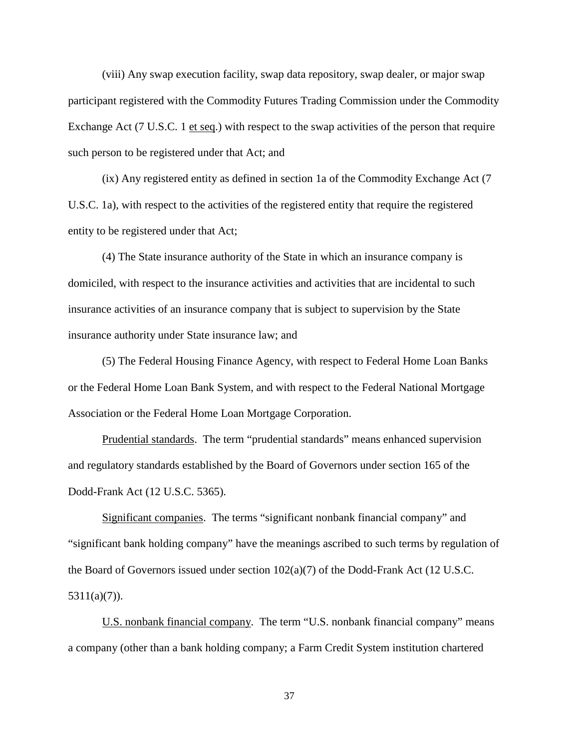(viii) Any swap execution facility, swap data repository, swap dealer, or major swap participant registered with the Commodity Futures Trading Commission under the Commodity Exchange Act (7 U.S.C. 1 et seq.) with respect to the swap activities of the person that require such person to be registered under that Act; and

(ix) Any registered entity as defined in section 1a of the Commodity Exchange Act (7 U.S.C. 1a), with respect to the activities of the registered entity that require the registered entity to be registered under that Act;

(4) The State insurance authority of the State in which an insurance company is domiciled, with respect to the insurance activities and activities that are incidental to such insurance activities of an insurance company that is subject to supervision by the State insurance authority under State insurance law; and

(5) The Federal Housing Finance Agency, with respect to Federal Home Loan Banks or the Federal Home Loan Bank System, and with respect to the Federal National Mortgage Association or the Federal Home Loan Mortgage Corporation.

Prudential standards. The term "prudential standards" means enhanced supervision and regulatory standards established by the Board of Governors under section 165 of the Dodd-Frank Act (12 U.S.C. 5365).

Significant companies. The terms "significant nonbank financial company" and "significant bank holding company" have the meanings ascribed to such terms by regulation of the Board of Governors issued under section  $102(a)(7)$  of the Dodd-Frank Act (12 U.S.C.  $5311(a)(7)$ ).

U.S. nonbank financial company. The term "U.S. nonbank financial company" means a company (other than a bank holding company; a Farm Credit System institution chartered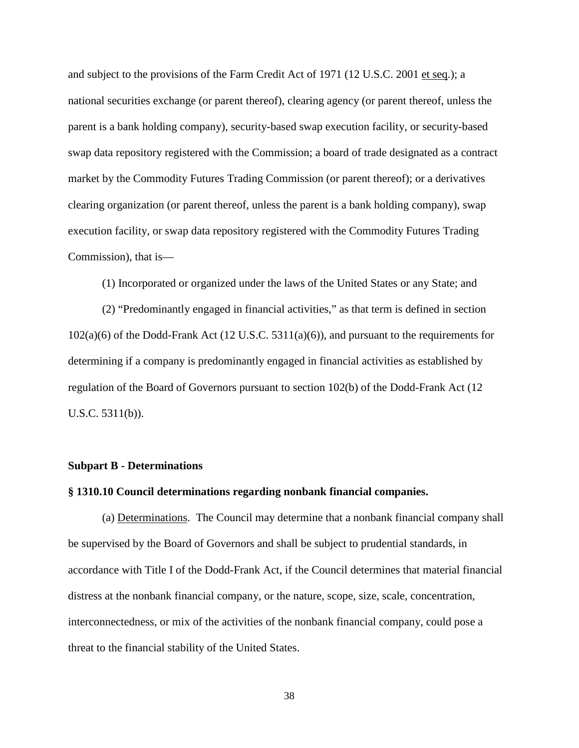and subject to the provisions of the Farm Credit Act of 1971 (12 U.S.C. 2001 et seq.); a national securities exchange (or parent thereof), clearing agency (or parent thereof, unless the parent is a bank holding company), security-based swap execution facility, or security-based swap data repository registered with the Commission; a board of trade designated as a contract market by the Commodity Futures Trading Commission (or parent thereof); or a derivatives clearing organization (or parent thereof, unless the parent is a bank holding company), swap execution facility, or swap data repository registered with the Commodity Futures Trading Commission), that is—

(1) Incorporated or organized under the laws of the United States or any State; and

(2) "Predominantly engaged in financial activities," as that term is defined in section 102(a)(6) of the Dodd-Frank Act (12 U.S.C. 5311(a)(6)), and pursuant to the requirements for determining if a company is predominantly engaged in financial activities as established by regulation of the Board of Governors pursuant to section 102(b) of the Dodd-Frank Act (12 U.S.C. 5311(b)).

## **Subpart B - Determinations**

## **§ 1310.10 Council determinations regarding nonbank financial companies.**

(a) Determinations. The Council may determine that a nonbank financial company shall be supervised by the Board of Governors and shall be subject to prudential standards, in accordance with Title I of the Dodd-Frank Act, if the Council determines that material financial distress at the nonbank financial company, or the nature, scope, size, scale, concentration, interconnectedness, or mix of the activities of the nonbank financial company, could pose a threat to the financial stability of the United States.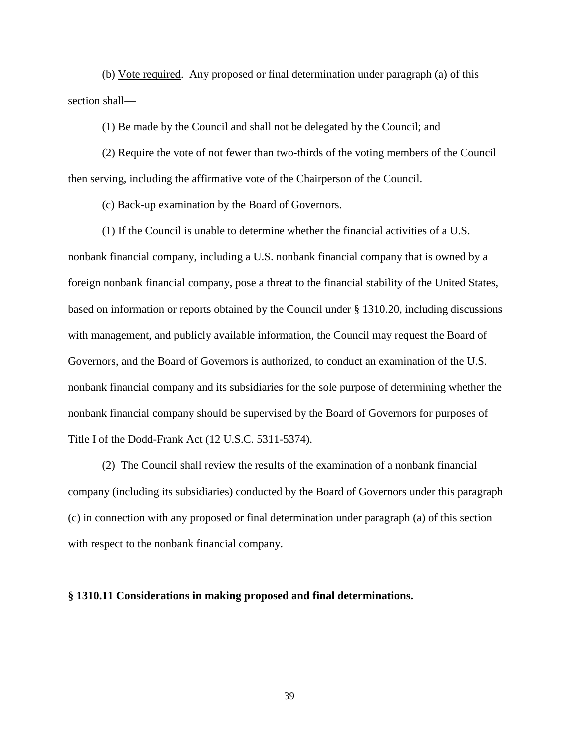(b) Vote required. Any proposed or final determination under paragraph (a) of this section shall—

(1) Be made by the Council and shall not be delegated by the Council; and

(2) Require the vote of not fewer than two-thirds of the voting members of the Council then serving, including the affirmative vote of the Chairperson of the Council.

(c) Back-up examination by the Board of Governors.

(1) If the Council is unable to determine whether the financial activities of a U.S. nonbank financial company, including a U.S. nonbank financial company that is owned by a foreign nonbank financial company, pose a threat to the financial stability of the United States, based on information or reports obtained by the Council under § 1310.20, including discussions with management, and publicly available information, the Council may request the Board of Governors, and the Board of Governors is authorized, to conduct an examination of the U.S. nonbank financial company and its subsidiaries for the sole purpose of determining whether the nonbank financial company should be supervised by the Board of Governors for purposes of Title I of the Dodd-Frank Act (12 U.S.C. 5311-5374).

(2) The Council shall review the results of the examination of a nonbank financial company (including its subsidiaries) conducted by the Board of Governors under this paragraph (c) in connection with any proposed or final determination under paragraph (a) of this section with respect to the nonbank financial company.

#### **§ 1310.11 Considerations in making proposed and final determinations.**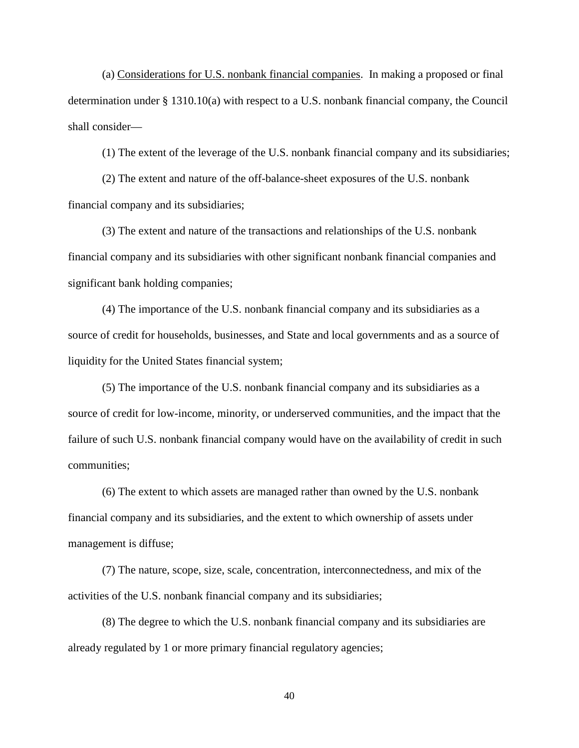(a) Considerations for U.S. nonbank financial companies. In making a proposed or final determination under § 1310.10(a) with respect to a U.S. nonbank financial company, the Council shall consider—

(1) The extent of the leverage of the U.S. nonbank financial company and its subsidiaries;

(2) The extent and nature of the off-balance-sheet exposures of the U.S. nonbank financial company and its subsidiaries;

(3) The extent and nature of the transactions and relationships of the U.S. nonbank financial company and its subsidiaries with other significant nonbank financial companies and significant bank holding companies;

(4) The importance of the U.S. nonbank financial company and its subsidiaries as a source of credit for households, businesses, and State and local governments and as a source of liquidity for the United States financial system;

(5) The importance of the U.S. nonbank financial company and its subsidiaries as a source of credit for low-income, minority, or underserved communities, and the impact that the failure of such U.S. nonbank financial company would have on the availability of credit in such communities;

(6) The extent to which assets are managed rather than owned by the U.S. nonbank financial company and its subsidiaries, and the extent to which ownership of assets under management is diffuse;

(7) The nature, scope, size, scale, concentration, interconnectedness, and mix of the activities of the U.S. nonbank financial company and its subsidiaries;

(8) The degree to which the U.S. nonbank financial company and its subsidiaries are already regulated by 1 or more primary financial regulatory agencies;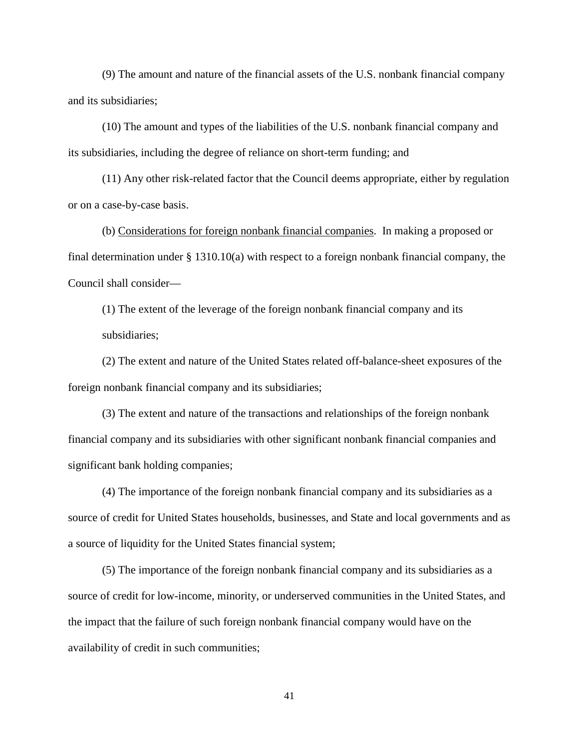(9) The amount and nature of the financial assets of the U.S. nonbank financial company and its subsidiaries;

(10) The amount and types of the liabilities of the U.S. nonbank financial company and its subsidiaries, including the degree of reliance on short-term funding; and

(11) Any other risk-related factor that the Council deems appropriate, either by regulation or on a case-by-case basis.

(b) Considerations for foreign nonbank financial companies. In making a proposed or final determination under § 1310.10(a) with respect to a foreign nonbank financial company, the Council shall consider—

(1) The extent of the leverage of the foreign nonbank financial company and its subsidiaries;

(2) The extent and nature of the United States related off-balance-sheet exposures of the foreign nonbank financial company and its subsidiaries;

(3) The extent and nature of the transactions and relationships of the foreign nonbank financial company and its subsidiaries with other significant nonbank financial companies and significant bank holding companies;

(4) The importance of the foreign nonbank financial company and its subsidiaries as a source of credit for United States households, businesses, and State and local governments and as a source of liquidity for the United States financial system;

(5) The importance of the foreign nonbank financial company and its subsidiaries as a source of credit for low-income, minority, or underserved communities in the United States, and the impact that the failure of such foreign nonbank financial company would have on the availability of credit in such communities;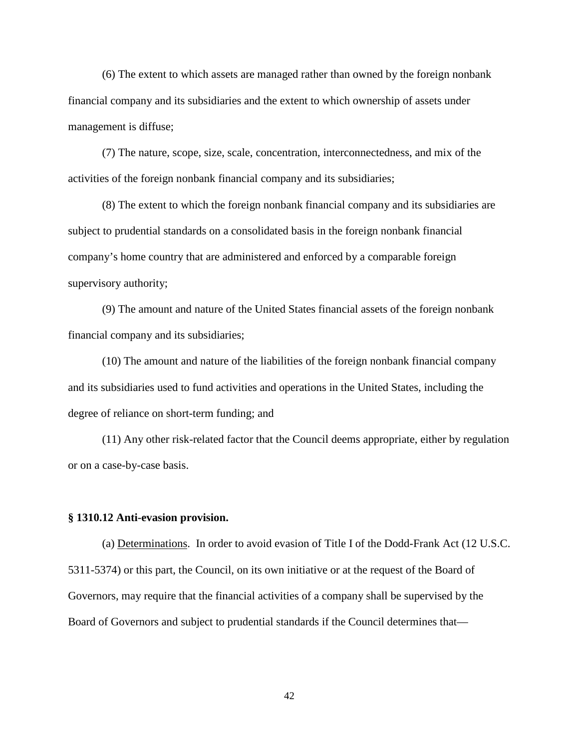(6) The extent to which assets are managed rather than owned by the foreign nonbank financial company and its subsidiaries and the extent to which ownership of assets under management is diffuse;

(7) The nature, scope, size, scale, concentration, interconnectedness, and mix of the activities of the foreign nonbank financial company and its subsidiaries;

(8) The extent to which the foreign nonbank financial company and its subsidiaries are subject to prudential standards on a consolidated basis in the foreign nonbank financial company's home country that are administered and enforced by a comparable foreign supervisory authority;

(9) The amount and nature of the United States financial assets of the foreign nonbank financial company and its subsidiaries;

(10) The amount and nature of the liabilities of the foreign nonbank financial company and its subsidiaries used to fund activities and operations in the United States, including the degree of reliance on short-term funding; and

(11) Any other risk-related factor that the Council deems appropriate, either by regulation or on a case-by-case basis.

#### **§ 1310.12 Anti-evasion provision.**

(a) Determinations. In order to avoid evasion of Title I of the Dodd-Frank Act (12 U.S.C. 5311-5374) or this part, the Council, on its own initiative or at the request of the Board of Governors, may require that the financial activities of a company shall be supervised by the Board of Governors and subject to prudential standards if the Council determines that—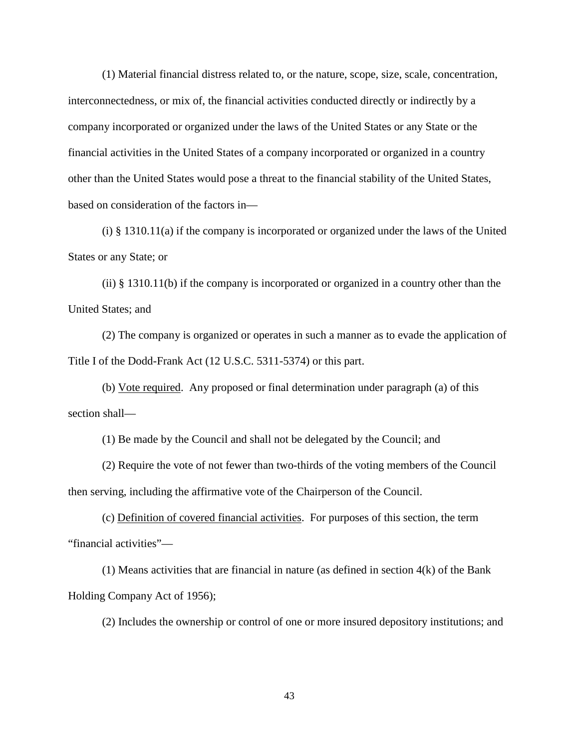(1) Material financial distress related to, or the nature, scope, size, scale, concentration, interconnectedness, or mix of, the financial activities conducted directly or indirectly by a company incorporated or organized under the laws of the United States or any State or the financial activities in the United States of a company incorporated or organized in a country other than the United States would pose a threat to the financial stability of the United States, based on consideration of the factors in—

(i) § 1310.11(a) if the company is incorporated or organized under the laws of the United States or any State; or

(ii)  $\S$  1310.11(b) if the company is incorporated or organized in a country other than the United States; and

(2) The company is organized or operates in such a manner as to evade the application of Title I of the Dodd-Frank Act (12 U.S.C. 5311-5374) or this part.

(b) Vote required. Any proposed or final determination under paragraph (a) of this section shall—

(1) Be made by the Council and shall not be delegated by the Council; and

(2) Require the vote of not fewer than two-thirds of the voting members of the Council then serving, including the affirmative vote of the Chairperson of the Council.

(c) Definition of covered financial activities. For purposes of this section, the term "financial activities"—

(1) Means activities that are financial in nature (as defined in section 4(k) of the Bank Holding Company Act of 1956);

(2) Includes the ownership or control of one or more insured depository institutions; and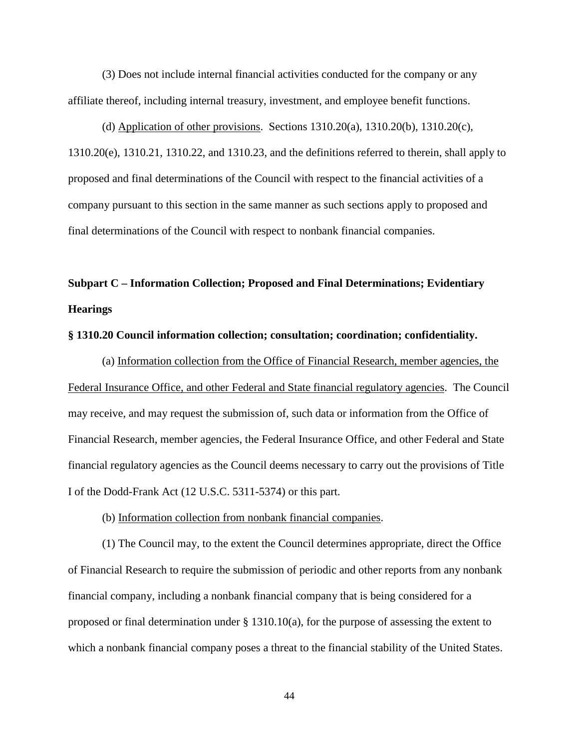(3) Does not include internal financial activities conducted for the company or any affiliate thereof, including internal treasury, investment, and employee benefit functions.

(d) Application of other provisions. Sections  $1310.20(a)$ ,  $1310.20(b)$ ,  $1310.20(c)$ , 1310.20(e), 1310.21, 1310.22, and 1310.23, and the definitions referred to therein, shall apply to proposed and final determinations of the Council with respect to the financial activities of a company pursuant to this section in the same manner as such sections apply to proposed and final determinations of the Council with respect to nonbank financial companies.

# **Subpart C – Information Collection; Proposed and Final Determinations; Evidentiary Hearings**

#### **§ 1310.20 Council information collection; consultation; coordination; confidentiality.**

(a) Information collection from the Office of Financial Research, member agencies, the Federal Insurance Office, and other Federal and State financial regulatory agencies. The Council may receive, and may request the submission of, such data or information from the Office of Financial Research, member agencies, the Federal Insurance Office, and other Federal and State financial regulatory agencies as the Council deems necessary to carry out the provisions of Title I of the Dodd-Frank Act (12 U.S.C. 5311-5374) or this part.

#### (b) Information collection from nonbank financial companies.

(1) The Council may, to the extent the Council determines appropriate, direct the Office of Financial Research to require the submission of periodic and other reports from any nonbank financial company, including a nonbank financial company that is being considered for a proposed or final determination under § 1310.10(a), for the purpose of assessing the extent to which a nonbank financial company poses a threat to the financial stability of the United States.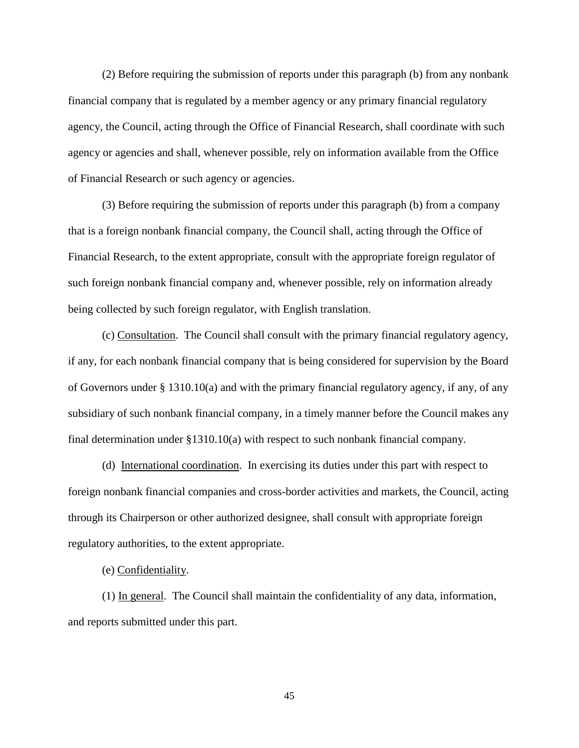(2) Before requiring the submission of reports under this paragraph (b) from any nonbank financial company that is regulated by a member agency or any primary financial regulatory agency, the Council, acting through the Office of Financial Research, shall coordinate with such agency or agencies and shall, whenever possible, rely on information available from the Office of Financial Research or such agency or agencies.

(3) Before requiring the submission of reports under this paragraph (b) from a company that is a foreign nonbank financial company, the Council shall, acting through the Office of Financial Research, to the extent appropriate, consult with the appropriate foreign regulator of such foreign nonbank financial company and, whenever possible, rely on information already being collected by such foreign regulator, with English translation.

(c) Consultation. The Council shall consult with the primary financial regulatory agency, if any, for each nonbank financial company that is being considered for supervision by the Board of Governors under § 1310.10(a) and with the primary financial regulatory agency, if any, of any subsidiary of such nonbank financial company, in a timely manner before the Council makes any final determination under §1310.10(a) with respect to such nonbank financial company.

(d) International coordination. In exercising its duties under this part with respect to foreign nonbank financial companies and cross-border activities and markets, the Council, acting through its Chairperson or other authorized designee, shall consult with appropriate foreign regulatory authorities, to the extent appropriate.

(e) Confidentiality.

(1) In general. The Council shall maintain the confidentiality of any data, information, and reports submitted under this part.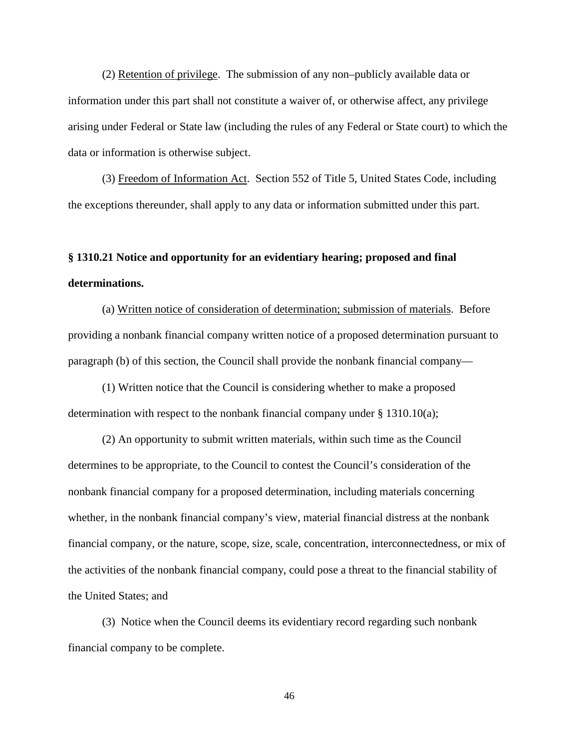(2) Retention of privilege. The submission of any non–publicly available data or information under this part shall not constitute a waiver of, or otherwise affect, any privilege arising under Federal or State law (including the rules of any Federal or State court) to which the data or information is otherwise subject.

(3) Freedom of Information Act. Section 552 of Title 5, United States Code, including the exceptions thereunder, shall apply to any data or information submitted under this part.

# **§ 1310.21 Notice and opportunity for an evidentiary hearing; proposed and final determinations.**

(a) Written notice of consideration of determination; submission of materials. Before providing a nonbank financial company written notice of a proposed determination pursuant to paragraph (b) of this section, the Council shall provide the nonbank financial company—

(1) Written notice that the Council is considering whether to make a proposed determination with respect to the nonbank financial company under  $\S$  1310.10(a);

(2) An opportunity to submit written materials, within such time as the Council determines to be appropriate, to the Council to contest the Council's consideration of the nonbank financial company for a proposed determination, including materials concerning whether, in the nonbank financial company's view, material financial distress at the nonbank financial company, or the nature, scope, size, scale, concentration, interconnectedness, or mix of the activities of the nonbank financial company, could pose a threat to the financial stability of the United States; and

(3) Notice when the Council deems its evidentiary record regarding such nonbank financial company to be complete.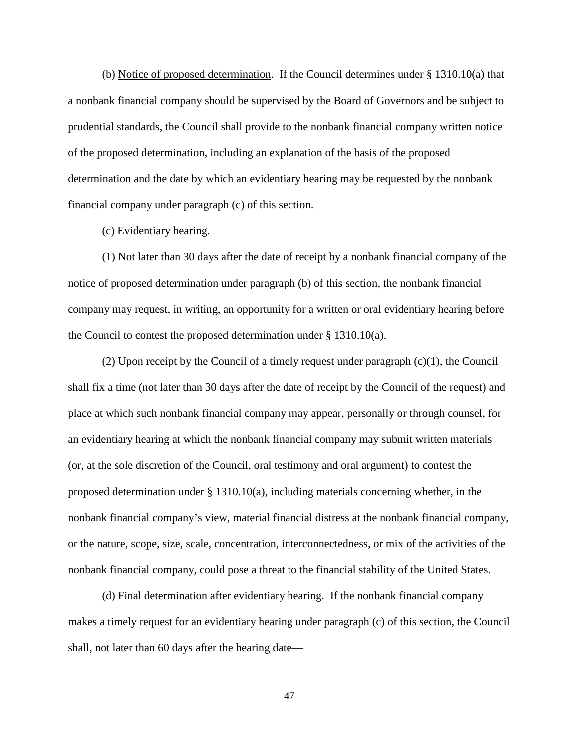(b) Notice of proposed determination. If the Council determines under § 1310.10(a) that a nonbank financial company should be supervised by the Board of Governors and be subject to prudential standards, the Council shall provide to the nonbank financial company written notice of the proposed determination, including an explanation of the basis of the proposed determination and the date by which an evidentiary hearing may be requested by the nonbank financial company under paragraph (c) of this section.

## (c) Evidentiary hearing.

(1) Not later than 30 days after the date of receipt by a nonbank financial company of the notice of proposed determination under paragraph (b) of this section, the nonbank financial company may request, in writing, an opportunity for a written or oral evidentiary hearing before the Council to contest the proposed determination under § 1310.10(a).

(2) Upon receipt by the Council of a timely request under paragraph (c)(1), the Council shall fix a time (not later than 30 days after the date of receipt by the Council of the request) and place at which such nonbank financial company may appear, personally or through counsel, for an evidentiary hearing at which the nonbank financial company may submit written materials (or, at the sole discretion of the Council, oral testimony and oral argument) to contest the proposed determination under  $\S$  1310.10(a), including materials concerning whether, in the nonbank financial company's view, material financial distress at the nonbank financial company, or the nature, scope, size, scale, concentration, interconnectedness, or mix of the activities of the nonbank financial company, could pose a threat to the financial stability of the United States.

(d) Final determination after evidentiary hearing. If the nonbank financial company makes a timely request for an evidentiary hearing under paragraph (c) of this section, the Council shall, not later than 60 days after the hearing date—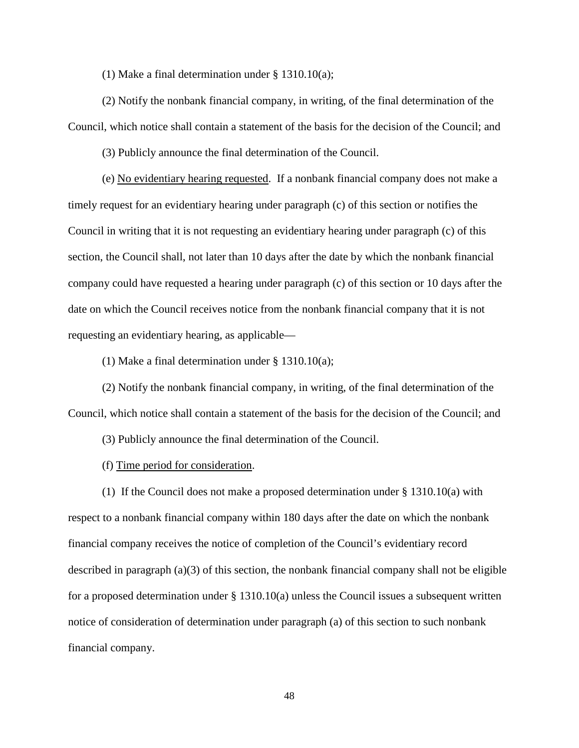(1) Make a final determination under § 1310.10(a);

(2) Notify the nonbank financial company, in writing, of the final determination of the Council, which notice shall contain a statement of the basis for the decision of the Council; and

(3) Publicly announce the final determination of the Council.

(e) No evidentiary hearing requested. If a nonbank financial company does not make a timely request for an evidentiary hearing under paragraph (c) of this section or notifies the Council in writing that it is not requesting an evidentiary hearing under paragraph (c) of this section, the Council shall, not later than 10 days after the date by which the nonbank financial company could have requested a hearing under paragraph (c) of this section or 10 days after the date on which the Council receives notice from the nonbank financial company that it is not requesting an evidentiary hearing, as applicable—

(1) Make a final determination under § 1310.10(a);

(2) Notify the nonbank financial company, in writing, of the final determination of the Council, which notice shall contain a statement of the basis for the decision of the Council; and

(3) Publicly announce the final determination of the Council.

(f) Time period for consideration.

(1) If the Council does not make a proposed determination under § 1310.10(a) with respect to a nonbank financial company within 180 days after the date on which the nonbank financial company receives the notice of completion of the Council's evidentiary record described in paragraph (a)(3) of this section, the nonbank financial company shall not be eligible for a proposed determination under § 1310.10(a) unless the Council issues a subsequent written notice of consideration of determination under paragraph (a) of this section to such nonbank financial company.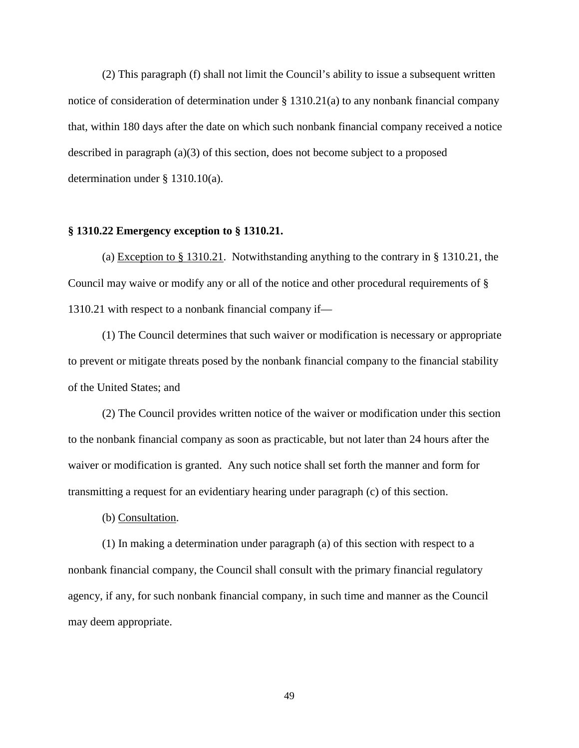(2) This paragraph (f) shall not limit the Council's ability to issue a subsequent written notice of consideration of determination under § 1310.21(a) to any nonbank financial company that, within 180 days after the date on which such nonbank financial company received a notice described in paragraph (a)(3) of this section, does not become subject to a proposed determination under § 1310.10(a).

## **§ 1310.22 Emergency exception to § 1310.21.**

(a) Exception to § 1310.21. Notwithstanding anything to the contrary in § 1310.21, the Council may waive or modify any or all of the notice and other procedural requirements of § 1310.21 with respect to a nonbank financial company if—

(1) The Council determines that such waiver or modification is necessary or appropriate to prevent or mitigate threats posed by the nonbank financial company to the financial stability of the United States; and

(2) The Council provides written notice of the waiver or modification under this section to the nonbank financial company as soon as practicable, but not later than 24 hours after the waiver or modification is granted. Any such notice shall set forth the manner and form for transmitting a request for an evidentiary hearing under paragraph (c) of this section.

(b) Consultation.

(1) In making a determination under paragraph (a) of this section with respect to a nonbank financial company, the Council shall consult with the primary financial regulatory agency, if any, for such nonbank financial company, in such time and manner as the Council may deem appropriate.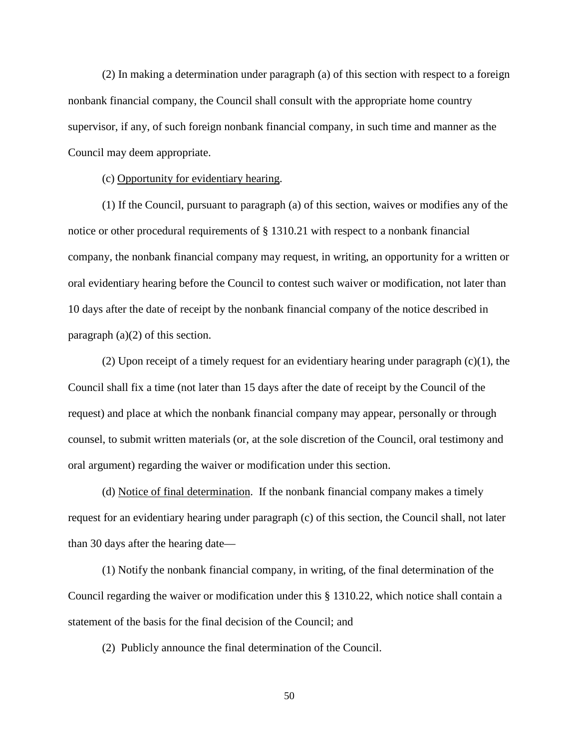(2) In making a determination under paragraph (a) of this section with respect to a foreign nonbank financial company, the Council shall consult with the appropriate home country supervisor, if any, of such foreign nonbank financial company, in such time and manner as the Council may deem appropriate.

(c) Opportunity for evidentiary hearing.

(1) If the Council, pursuant to paragraph (a) of this section, waives or modifies any of the notice or other procedural requirements of § 1310.21 with respect to a nonbank financial company, the nonbank financial company may request, in writing, an opportunity for a written or oral evidentiary hearing before the Council to contest such waiver or modification, not later than 10 days after the date of receipt by the nonbank financial company of the notice described in paragraph (a)(2) of this section.

(2) Upon receipt of a timely request for an evidentiary hearing under paragraph (c)(1), the Council shall fix a time (not later than 15 days after the date of receipt by the Council of the request) and place at which the nonbank financial company may appear, personally or through counsel, to submit written materials (or, at the sole discretion of the Council, oral testimony and oral argument) regarding the waiver or modification under this section.

(d) Notice of final determination. If the nonbank financial company makes a timely request for an evidentiary hearing under paragraph (c) of this section, the Council shall, not later than 30 days after the hearing date—

(1) Notify the nonbank financial company, in writing, of the final determination of the Council regarding the waiver or modification under this § 1310.22, which notice shall contain a statement of the basis for the final decision of the Council; and

(2) Publicly announce the final determination of the Council.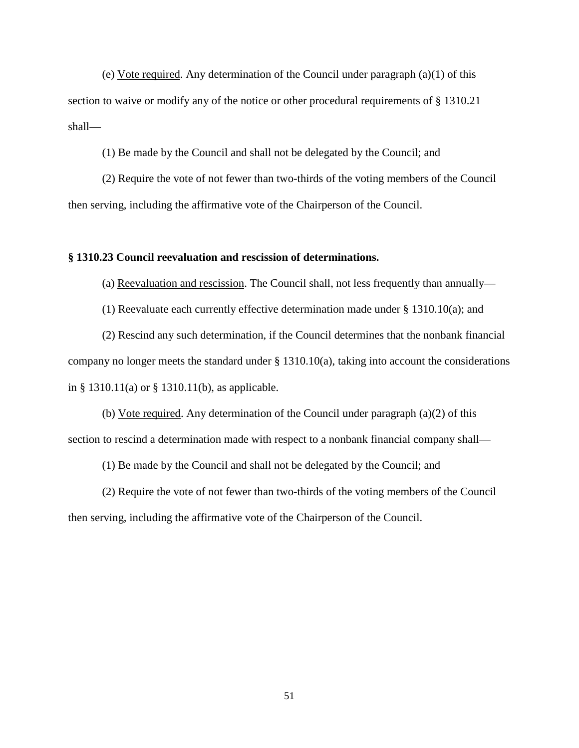(e) Vote required. Any determination of the Council under paragraph (a)(1) of this section to waive or modify any of the notice or other procedural requirements of § 1310.21 shall—

(1) Be made by the Council and shall not be delegated by the Council; and

(2) Require the vote of not fewer than two-thirds of the voting members of the Council then serving, including the affirmative vote of the Chairperson of the Council.

## **§ 1310.23 Council reevaluation and rescission of determinations.**

(a) Reevaluation and rescission. The Council shall, not less frequently than annually—

(1) Reevaluate each currently effective determination made under  $\S$  1310.10(a); and

(2) Rescind any such determination, if the Council determines that the nonbank financial company no longer meets the standard under § 1310.10(a), taking into account the considerations in § 1310.11(a) or § 1310.11(b), as applicable.

(b) Vote required. Any determination of the Council under paragraph (a)(2) of this section to rescind a determination made with respect to a nonbank financial company shall—

(1) Be made by the Council and shall not be delegated by the Council; and

(2) Require the vote of not fewer than two-thirds of the voting members of the Council then serving, including the affirmative vote of the Chairperson of the Council.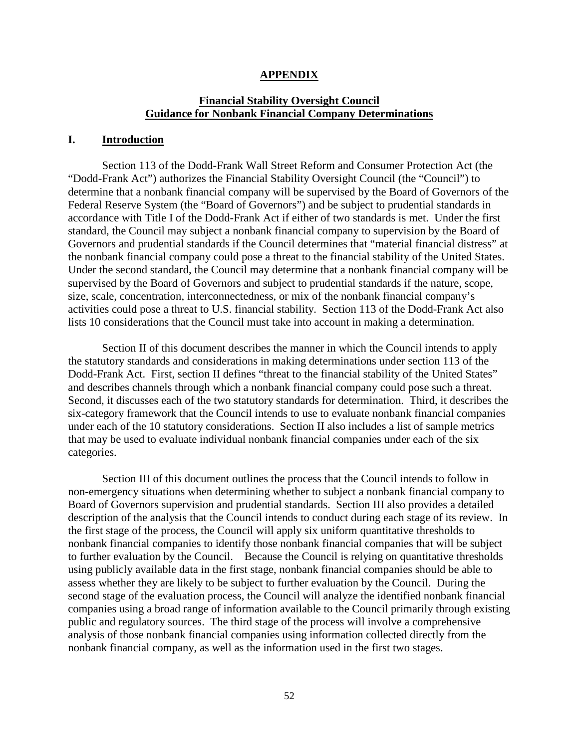## **APPENDIX**

# **Financial Stability Oversight Council Guidance for Nonbank Financial Company Determinations**

## **I. Introduction**

Section 113 of the Dodd-Frank Wall Street Reform and Consumer Protection Act (the "Dodd-Frank Act") authorizes the Financial Stability Oversight Council (the "Council") to determine that a nonbank financial company will be supervised by the Board of Governors of the Federal Reserve System (the "Board of Governors") and be subject to prudential standards in accordance with Title I of the Dodd-Frank Act if either of two standards is met. Under the first standard, the Council may subject a nonbank financial company to supervision by the Board of Governors and prudential standards if the Council determines that "material financial distress" at the nonbank financial company could pose a threat to the financial stability of the United States. Under the second standard, the Council may determine that a nonbank financial company will be supervised by the Board of Governors and subject to prudential standards if the nature, scope, size, scale, concentration, interconnectedness, or mix of the nonbank financial company's activities could pose a threat to U.S. financial stability. Section 113 of the Dodd-Frank Act also lists 10 considerations that the Council must take into account in making a determination.

Section II of this document describes the manner in which the Council intends to apply the statutory standards and considerations in making determinations under section 113 of the Dodd-Frank Act. First, section II defines "threat to the financial stability of the United States" and describes channels through which a nonbank financial company could pose such a threat. Second, it discusses each of the two statutory standards for determination. Third, it describes the six-category framework that the Council intends to use to evaluate nonbank financial companies under each of the 10 statutory considerations. Section II also includes a list of sample metrics that may be used to evaluate individual nonbank financial companies under each of the six categories.

Section III of this document outlines the process that the Council intends to follow in non-emergency situations when determining whether to subject a nonbank financial company to Board of Governors supervision and prudential standards. Section III also provides a detailed description of the analysis that the Council intends to conduct during each stage of its review. In the first stage of the process, the Council will apply six uniform quantitative thresholds to nonbank financial companies to identify those nonbank financial companies that will be subject to further evaluation by the Council. Because the Council is relying on quantitative thresholds using publicly available data in the first stage, nonbank financial companies should be able to assess whether they are likely to be subject to further evaluation by the Council. During the second stage of the evaluation process, the Council will analyze the identified nonbank financial companies using a broad range of information available to the Council primarily through existing public and regulatory sources. The third stage of the process will involve a comprehensive analysis of those nonbank financial companies using information collected directly from the nonbank financial company, as well as the information used in the first two stages.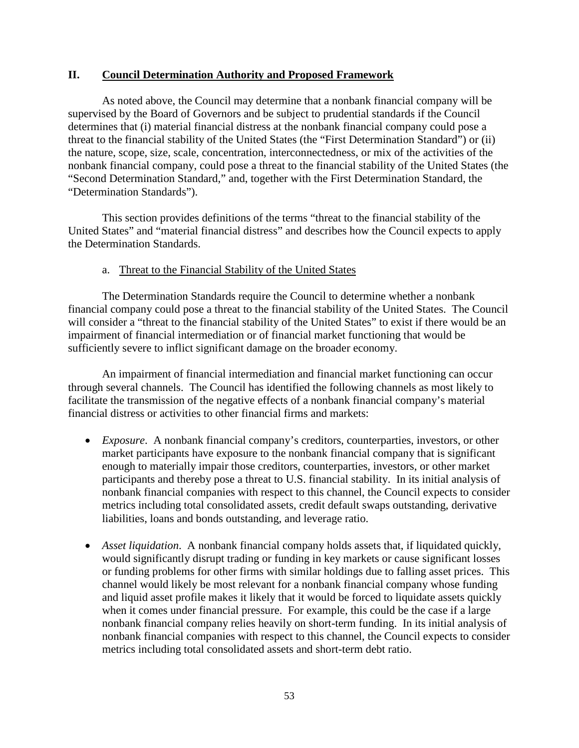# **II. Council Determination Authority and Proposed Framework**

As noted above, the Council may determine that a nonbank financial company will be supervised by the Board of Governors and be subject to prudential standards if the Council determines that (i) material financial distress at the nonbank financial company could pose a threat to the financial stability of the United States (the "First Determination Standard") or (ii) the nature, scope, size, scale, concentration, interconnectedness, or mix of the activities of the nonbank financial company, could pose a threat to the financial stability of the United States (the "Second Determination Standard," and, together with the First Determination Standard, the "Determination Standards").

This section provides definitions of the terms "threat to the financial stability of the United States" and "material financial distress" and describes how the Council expects to apply the Determination Standards.

# a. Threat to the Financial Stability of the United States

The Determination Standards require the Council to determine whether a nonbank financial company could pose a threat to the financial stability of the United States. The Council will consider a "threat to the financial stability of the United States" to exist if there would be an impairment of financial intermediation or of financial market functioning that would be sufficiently severe to inflict significant damage on the broader economy.

An impairment of financial intermediation and financial market functioning can occur through several channels. The Council has identified the following channels as most likely to facilitate the transmission of the negative effects of a nonbank financial company's material financial distress or activities to other financial firms and markets:

- *Exposure*. A nonbank financial company's creditors, counterparties, investors, or other market participants have exposure to the nonbank financial company that is significant enough to materially impair those creditors, counterparties, investors, or other market participants and thereby pose a threat to U.S. financial stability. In its initial analysis of nonbank financial companies with respect to this channel, the Council expects to consider metrics including total consolidated assets, credit default swaps outstanding, derivative liabilities, loans and bonds outstanding, and leverage ratio.
- *Asset liquidation*. A nonbank financial company holds assets that, if liquidated quickly, would significantly disrupt trading or funding in key markets or cause significant losses or funding problems for other firms with similar holdings due to falling asset prices. This channel would likely be most relevant for a nonbank financial company whose funding and liquid asset profile makes it likely that it would be forced to liquidate assets quickly when it comes under financial pressure. For example, this could be the case if a large nonbank financial company relies heavily on short-term funding. In its initial analysis of nonbank financial companies with respect to this channel, the Council expects to consider metrics including total consolidated assets and short-term debt ratio.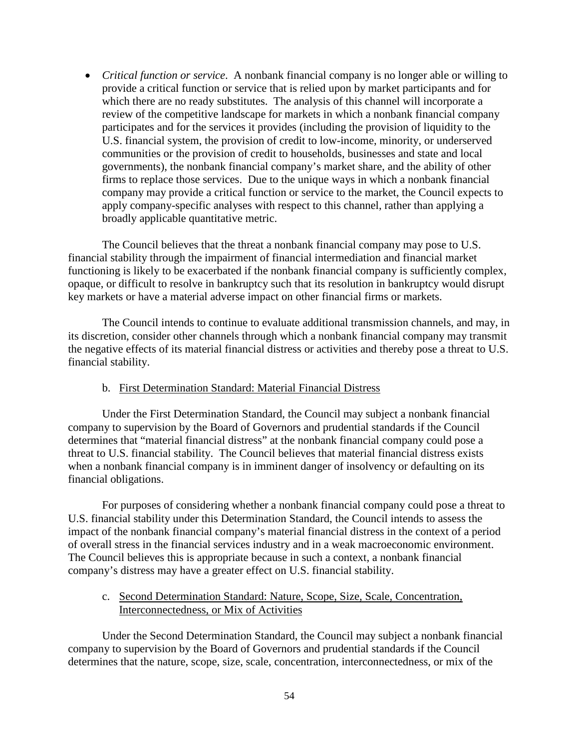• *Critical function or service*. A nonbank financial company is no longer able or willing to provide a critical function or service that is relied upon by market participants and for which there are no ready substitutes. The analysis of this channel will incorporate a review of the competitive landscape for markets in which a nonbank financial company participates and for the services it provides (including the provision of liquidity to the U.S. financial system, the provision of credit to low-income, minority, or underserved communities or the provision of credit to households, businesses and state and local governments), the nonbank financial company's market share, and the ability of other firms to replace those services. Due to the unique ways in which a nonbank financial company may provide a critical function or service to the market, the Council expects to apply company-specific analyses with respect to this channel, rather than applying a broadly applicable quantitative metric.

The Council believes that the threat a nonbank financial company may pose to U.S. financial stability through the impairment of financial intermediation and financial market functioning is likely to be exacerbated if the nonbank financial company is sufficiently complex, opaque, or difficult to resolve in bankruptcy such that its resolution in bankruptcy would disrupt key markets or have a material adverse impact on other financial firms or markets.

The Council intends to continue to evaluate additional transmission channels, and may, in its discretion, consider other channels through which a nonbank financial company may transmit the negative effects of its material financial distress or activities and thereby pose a threat to U.S. financial stability.

## b. First Determination Standard: Material Financial Distress

Under the First Determination Standard, the Council may subject a nonbank financial company to supervision by the Board of Governors and prudential standards if the Council determines that "material financial distress" at the nonbank financial company could pose a threat to U.S. financial stability. The Council believes that material financial distress exists when a nonbank financial company is in imminent danger of insolvency or defaulting on its financial obligations.

For purposes of considering whether a nonbank financial company could pose a threat to U.S. financial stability under this Determination Standard, the Council intends to assess the impact of the nonbank financial company's material financial distress in the context of a period of overall stress in the financial services industry and in a weak macroeconomic environment. The Council believes this is appropriate because in such a context, a nonbank financial company's distress may have a greater effect on U.S. financial stability.

# c. Second Determination Standard: Nature, Scope, Size, Scale, Concentration, Interconnectedness, or Mix of Activities

Under the Second Determination Standard, the Council may subject a nonbank financial company to supervision by the Board of Governors and prudential standards if the Council determines that the nature, scope, size, scale, concentration, interconnectedness, or mix of the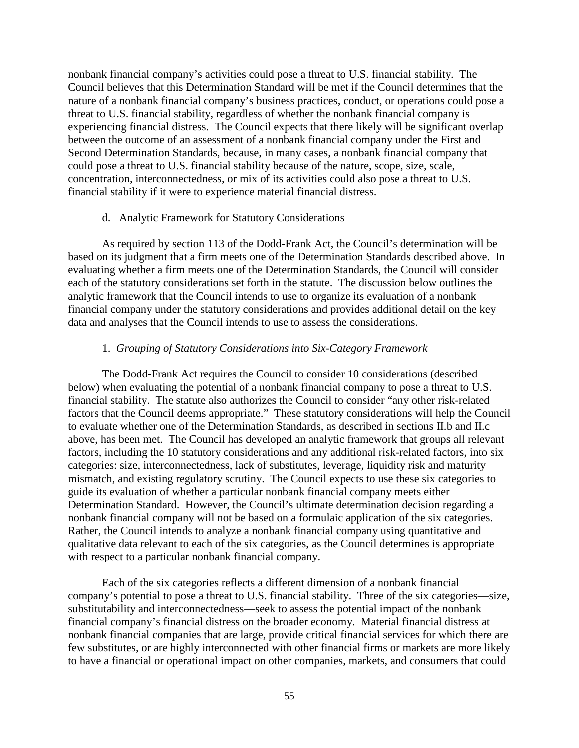nonbank financial company's activities could pose a threat to U.S. financial stability. The Council believes that this Determination Standard will be met if the Council determines that the nature of a nonbank financial company's business practices, conduct, or operations could pose a threat to U.S. financial stability, regardless of whether the nonbank financial company is experiencing financial distress. The Council expects that there likely will be significant overlap between the outcome of an assessment of a nonbank financial company under the First and Second Determination Standards, because, in many cases, a nonbank financial company that could pose a threat to U.S. financial stability because of the nature, scope, size, scale, concentration, interconnectedness, or mix of its activities could also pose a threat to U.S. financial stability if it were to experience material financial distress.

## d. Analytic Framework for Statutory Considerations

As required by section 113 of the Dodd-Frank Act, the Council's determination will be based on its judgment that a firm meets one of the Determination Standards described above. In evaluating whether a firm meets one of the Determination Standards, the Council will consider each of the statutory considerations set forth in the statute. The discussion below outlines the analytic framework that the Council intends to use to organize its evaluation of a nonbank financial company under the statutory considerations and provides additional detail on the key data and analyses that the Council intends to use to assess the considerations.

## 1. *Grouping of Statutory Considerations into Six-Category Framework*

The Dodd-Frank Act requires the Council to consider 10 considerations (described below) when evaluating the potential of a nonbank financial company to pose a threat to U.S. financial stability. The statute also authorizes the Council to consider "any other risk-related factors that the Council deems appropriate." These statutory considerations will help the Council to evaluate whether one of the Determination Standards, as described in sections II.b and II.c above, has been met. The Council has developed an analytic framework that groups all relevant factors, including the 10 statutory considerations and any additional risk-related factors, into six categories: size, interconnectedness, lack of substitutes, leverage, liquidity risk and maturity mismatch, and existing regulatory scrutiny. The Council expects to use these six categories to guide its evaluation of whether a particular nonbank financial company meets either Determination Standard. However, the Council's ultimate determination decision regarding a nonbank financial company will not be based on a formulaic application of the six categories. Rather, the Council intends to analyze a nonbank financial company using quantitative and qualitative data relevant to each of the six categories, as the Council determines is appropriate with respect to a particular nonbank financial company.

Each of the six categories reflects a different dimension of a nonbank financial company's potential to pose a threat to U.S. financial stability. Three of the six categories—size, substitutability and interconnectedness—seek to assess the potential impact of the nonbank financial company's financial distress on the broader economy. Material financial distress at nonbank financial companies that are large, provide critical financial services for which there are few substitutes, or are highly interconnected with other financial firms or markets are more likely to have a financial or operational impact on other companies, markets, and consumers that could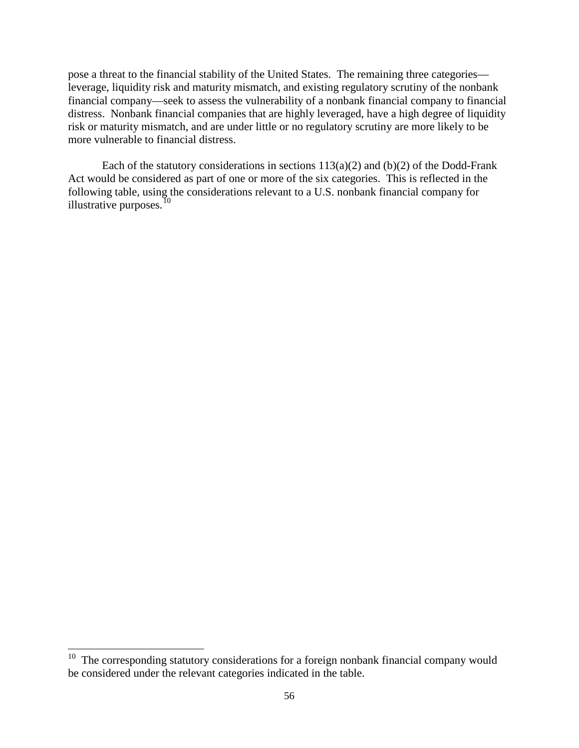pose a threat to the financial stability of the United States. The remaining three categories leverage, liquidity risk and maturity mismatch, and existing regulatory scrutiny of the nonbank financial company—seek to assess the vulnerability of a nonbank financial company to financial distress. Nonbank financial companies that are highly leveraged, have a high degree of liquidity risk or maturity mismatch, and are under little or no regulatory scrutiny are more likely to be more vulnerable to financial distress.

Each of the statutory considerations in sections  $113(a)(2)$  and  $(b)(2)$  of the Dodd-Frank Act would be considered as part of one or more of the six categories. This is reflected in the following table, using the considerations relevant to a U.S. nonbank financial company for illustrative purposes. $10$ 

<span id="page-55-0"></span><sup>&</sup>lt;sup>10</sup> The corresponding statutory considerations for a foreign nonbank financial company would be considered under the relevant categories indicated in the table.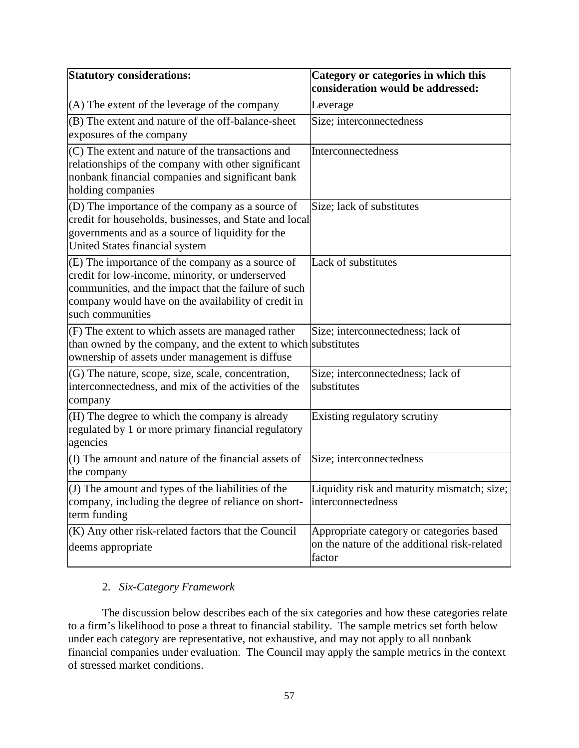| <b>Statutory considerations:</b>                                                                                                                                                                                                       | Category or categories in which this<br>consideration would be addressed:                          |
|----------------------------------------------------------------------------------------------------------------------------------------------------------------------------------------------------------------------------------------|----------------------------------------------------------------------------------------------------|
| (A) The extent of the leverage of the company                                                                                                                                                                                          | Leverage                                                                                           |
| (B) The extent and nature of the off-balance-sheet<br>exposures of the company                                                                                                                                                         | Size; interconnectedness                                                                           |
| (C) The extent and nature of the transactions and<br>relationships of the company with other significant<br>nonbank financial companies and significant bank<br>holding companies                                                      | Interconnectedness                                                                                 |
| (D) The importance of the company as a source of<br>credit for households, businesses, and State and local<br>governments and as a source of liquidity for the<br>United States financial system                                       | Size; lack of substitutes                                                                          |
| (E) The importance of the company as a source of<br>credit for low-income, minority, or underserved<br>communities, and the impact that the failure of such<br>company would have on the availability of credit in<br>such communities | Lack of substitutes                                                                                |
| (F) The extent to which assets are managed rather<br>than owned by the company, and the extent to which substitutes<br>ownership of assets under management is diffuse                                                                 | Size; interconnectedness; lack of                                                                  |
| (G) The nature, scope, size, scale, concentration,<br>interconnectedness, and mix of the activities of the<br>company                                                                                                                  | Size; interconnectedness; lack of<br>substitutes                                                   |
| (H) The degree to which the company is already<br>regulated by 1 or more primary financial regulatory<br>agencies                                                                                                                      | Existing regulatory scrutiny                                                                       |
| (I) The amount and nature of the financial assets of<br>the company                                                                                                                                                                    | Size; interconnectedness                                                                           |
| (J) The amount and types of the liabilities of the<br>company, including the degree of reliance on short-<br>term funding                                                                                                              | Liquidity risk and maturity mismatch; size;<br>interconnectedness                                  |
| (K) Any other risk-related factors that the Council<br>deems appropriate                                                                                                                                                               | Appropriate category or categories based<br>on the nature of the additional risk-related<br>factor |

# 2. *Six-Category Framework*

The discussion below describes each of the six categories and how these categories relate to a firm's likelihood to pose a threat to financial stability. The sample metrics set forth below under each category are representative, not exhaustive, and may not apply to all nonbank financial companies under evaluation. The Council may apply the sample metrics in the context of stressed market conditions.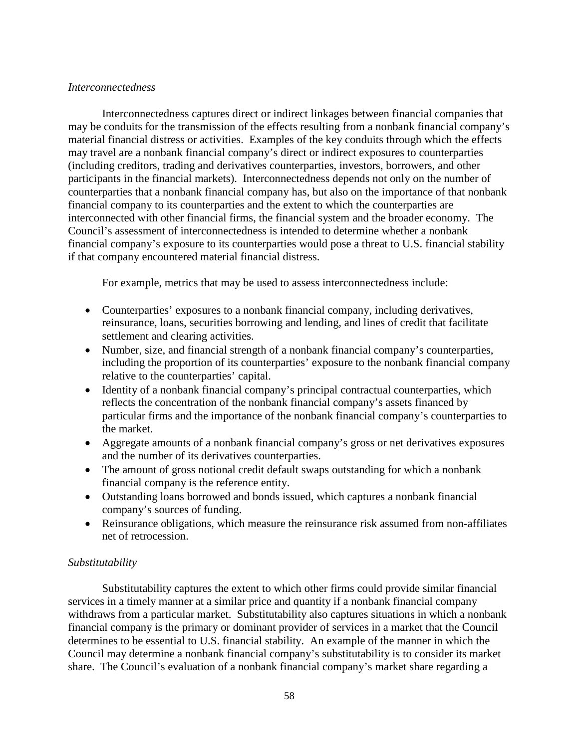# *Interconnectedness*

Interconnectedness captures direct or indirect linkages between financial companies that may be conduits for the transmission of the effects resulting from a nonbank financial company's material financial distress or activities. Examples of the key conduits through which the effects may travel are a nonbank financial company's direct or indirect exposures to counterparties (including creditors, trading and derivatives counterparties, investors, borrowers, and other participants in the financial markets). Interconnectedness depends not only on the number of counterparties that a nonbank financial company has, but also on the importance of that nonbank financial company to its counterparties and the extent to which the counterparties are interconnected with other financial firms, the financial system and the broader economy. The Council's assessment of interconnectedness is intended to determine whether a nonbank financial company's exposure to its counterparties would pose a threat to U.S. financial stability if that company encountered material financial distress.

For example, metrics that may be used to assess interconnectedness include:

- Counterparties' exposures to a nonbank financial company, including derivatives, reinsurance, loans, securities borrowing and lending, and lines of credit that facilitate settlement and clearing activities.
- Number, size, and financial strength of a nonbank financial company's counterparties, including the proportion of its counterparties' exposure to the nonbank financial company relative to the counterparties' capital.
- Identity of a nonbank financial company's principal contractual counterparties, which reflects the concentration of the nonbank financial company's assets financed by particular firms and the importance of the nonbank financial company's counterparties to the market.
- Aggregate amounts of a nonbank financial company's gross or net derivatives exposures and the number of its derivatives counterparties.
- The amount of gross notional credit default swaps outstanding for which a nonbank financial company is the reference entity.
- Outstanding loans borrowed and bonds issued, which captures a nonbank financial company's sources of funding.
- Reinsurance obligations, which measure the reinsurance risk assumed from non-affiliates net of retrocession.

# *Substitutability*

Substitutability captures the extent to which other firms could provide similar financial services in a timely manner at a similar price and quantity if a nonbank financial company withdraws from a particular market. Substitutability also captures situations in which a nonbank financial company is the primary or dominant provider of services in a market that the Council determines to be essential to U.S. financial stability. An example of the manner in which the Council may determine a nonbank financial company's substitutability is to consider its market share. The Council's evaluation of a nonbank financial company's market share regarding a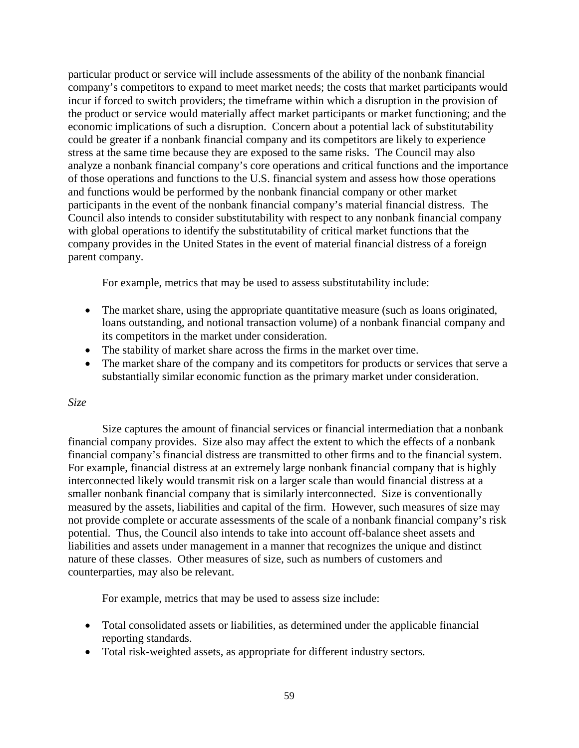particular product or service will include assessments of the ability of the nonbank financial company's competitors to expand to meet market needs; the costs that market participants would incur if forced to switch providers; the timeframe within which a disruption in the provision of the product or service would materially affect market participants or market functioning; and the economic implications of such a disruption. Concern about a potential lack of substitutability could be greater if a nonbank financial company and its competitors are likely to experience stress at the same time because they are exposed to the same risks. The Council may also analyze a nonbank financial company's core operations and critical functions and the importance of those operations and functions to the U.S. financial system and assess how those operations and functions would be performed by the nonbank financial company or other market participants in the event of the nonbank financial company's material financial distress. The Council also intends to consider substitutability with respect to any nonbank financial company with global operations to identify the substitutability of critical market functions that the company provides in the United States in the event of material financial distress of a foreign parent company.

For example, metrics that may be used to assess substitutability include:

- The market share, using the appropriate quantitative measure (such as loans originated, loans outstanding, and notional transaction volume) of a nonbank financial company and its competitors in the market under consideration.
- The stability of market share across the firms in the market over time.
- The market share of the company and its competitors for products or services that serve a substantially similar economic function as the primary market under consideration.

# *Size*

Size captures the amount of financial services or financial intermediation that a nonbank financial company provides. Size also may affect the extent to which the effects of a nonbank financial company's financial distress are transmitted to other firms and to the financial system. For example, financial distress at an extremely large nonbank financial company that is highly interconnected likely would transmit risk on a larger scale than would financial distress at a smaller nonbank financial company that is similarly interconnected. Size is conventionally measured by the assets, liabilities and capital of the firm. However, such measures of size may not provide complete or accurate assessments of the scale of a nonbank financial company's risk potential. Thus, the Council also intends to take into account off-balance sheet assets and liabilities and assets under management in a manner that recognizes the unique and distinct nature of these classes. Other measures of size, such as numbers of customers and counterparties, may also be relevant.

For example, metrics that may be used to assess size include:

- Total consolidated assets or liabilities, as determined under the applicable financial reporting standards.
- Total risk-weighted assets, as appropriate for different industry sectors.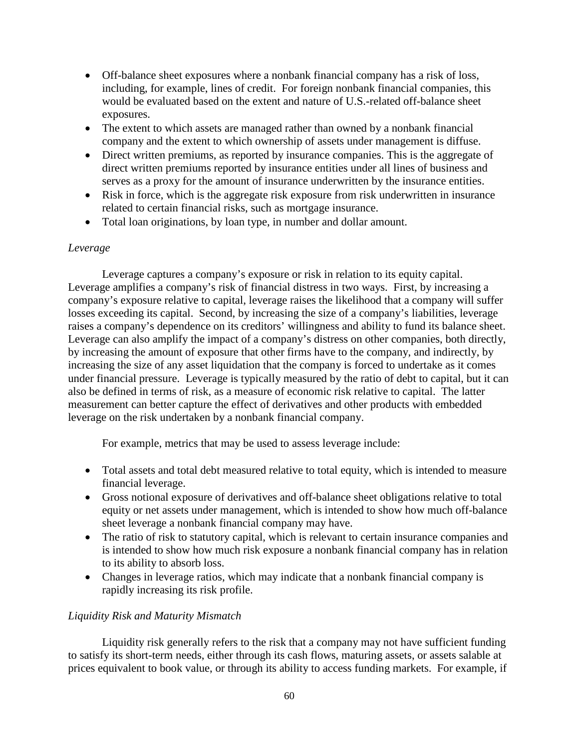- Off-balance sheet exposures where a nonbank financial company has a risk of loss, including, for example, lines of credit. For foreign nonbank financial companies, this would be evaluated based on the extent and nature of U.S.-related off-balance sheet exposures.
- The extent to which assets are managed rather than owned by a nonbank financial company and the extent to which ownership of assets under management is diffuse.
- Direct written premiums, as reported by insurance companies. This is the aggregate of direct written premiums reported by insurance entities under all lines of business and serves as a proxy for the amount of insurance underwritten by the insurance entities.
- Risk in force, which is the aggregate risk exposure from risk underwritten in insurance related to certain financial risks, such as mortgage insurance.
- Total loan originations, by loan type, in number and dollar amount.

# *Leverage*

Leverage captures a company's exposure or risk in relation to its equity capital. Leverage amplifies a company's risk of financial distress in two ways. First, by increasing a company's exposure relative to capital, leverage raises the likelihood that a company will suffer losses exceeding its capital. Second, by increasing the size of a company's liabilities, leverage raises a company's dependence on its creditors' willingness and ability to fund its balance sheet. Leverage can also amplify the impact of a company's distress on other companies, both directly, by increasing the amount of exposure that other firms have to the company, and indirectly, by increasing the size of any asset liquidation that the company is forced to undertake as it comes under financial pressure. Leverage is typically measured by the ratio of debt to capital, but it can also be defined in terms of risk, as a measure of economic risk relative to capital. The latter measurement can better capture the effect of derivatives and other products with embedded leverage on the risk undertaken by a nonbank financial company.

For example, metrics that may be used to assess leverage include:

- Total assets and total debt measured relative to total equity, which is intended to measure financial leverage.
- Gross notional exposure of derivatives and off-balance sheet obligations relative to total equity or net assets under management, which is intended to show how much off-balance sheet leverage a nonbank financial company may have.
- The ratio of risk to statutory capital, which is relevant to certain insurance companies and is intended to show how much risk exposure a nonbank financial company has in relation to its ability to absorb loss.
- Changes in leverage ratios, which may indicate that a nonbank financial company is rapidly increasing its risk profile.

# *Liquidity Risk and Maturity Mismatch*

Liquidity risk generally refers to the risk that a company may not have sufficient funding to satisfy its short-term needs, either through its cash flows, maturing assets, or assets salable at prices equivalent to book value, or through its ability to access funding markets. For example, if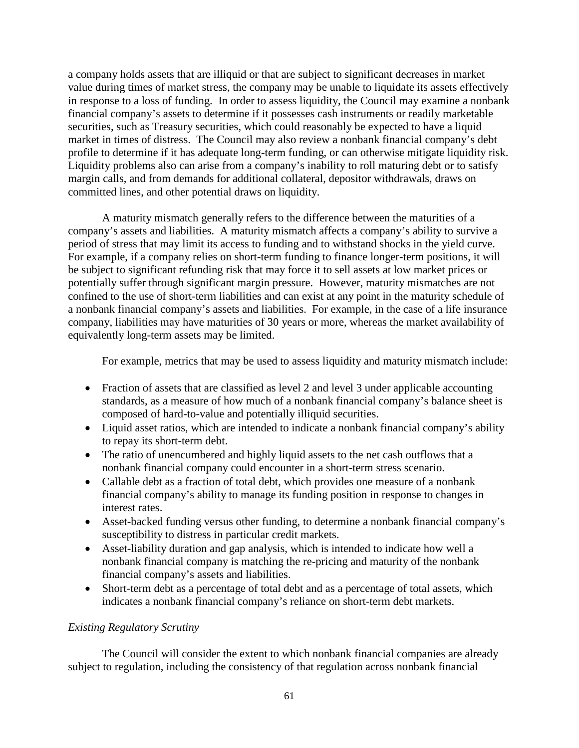a company holds assets that are illiquid or that are subject to significant decreases in market value during times of market stress, the company may be unable to liquidate its assets effectively in response to a loss of funding. In order to assess liquidity, the Council may examine a nonbank financial company's assets to determine if it possesses cash instruments or readily marketable securities, such as Treasury securities, which could reasonably be expected to have a liquid market in times of distress. The Council may also review a nonbank financial company's debt profile to determine if it has adequate long-term funding, or can otherwise mitigate liquidity risk. Liquidity problems also can arise from a company's inability to roll maturing debt or to satisfy margin calls, and from demands for additional collateral, depositor withdrawals, draws on committed lines, and other potential draws on liquidity.

A maturity mismatch generally refers to the difference between the maturities of a company's assets and liabilities. A maturity mismatch affects a company's ability to survive a period of stress that may limit its access to funding and to withstand shocks in the yield curve. For example, if a company relies on short-term funding to finance longer-term positions, it will be subject to significant refunding risk that may force it to sell assets at low market prices or potentially suffer through significant margin pressure. However, maturity mismatches are not confined to the use of short-term liabilities and can exist at any point in the maturity schedule of a nonbank financial company's assets and liabilities. For example, in the case of a life insurance company, liabilities may have maturities of 30 years or more, whereas the market availability of equivalently long-term assets may be limited.

For example, metrics that may be used to assess liquidity and maturity mismatch include:

- Fraction of assets that are classified as level 2 and level 3 under applicable accounting standards, as a measure of how much of a nonbank financial company's balance sheet is composed of hard-to-value and potentially illiquid securities.
- Liquid asset ratios, which are intended to indicate a nonbank financial company's ability to repay its short-term debt.
- The ratio of unencumbered and highly liquid assets to the net cash outflows that a nonbank financial company could encounter in a short-term stress scenario.
- Callable debt as a fraction of total debt, which provides one measure of a nonbank financial company's ability to manage its funding position in response to changes in interest rates.
- Asset-backed funding versus other funding, to determine a nonbank financial company's susceptibility to distress in particular credit markets.
- Asset-liability duration and gap analysis, which is intended to indicate how well a nonbank financial company is matching the re-pricing and maturity of the nonbank financial company's assets and liabilities.
- Short-term debt as a percentage of total debt and as a percentage of total assets, which indicates a nonbank financial company's reliance on short-term debt markets.

# *Existing Regulatory Scrutiny*

The Council will consider the extent to which nonbank financial companies are already subject to regulation, including the consistency of that regulation across nonbank financial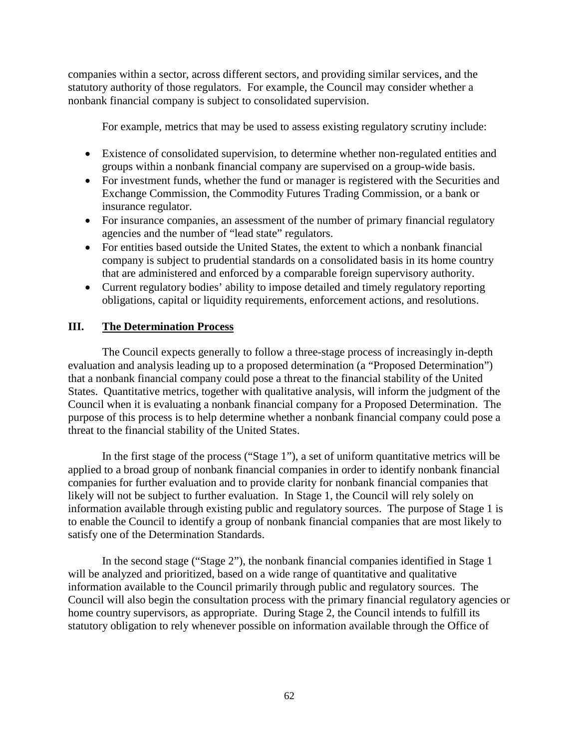companies within a sector, across different sectors, and providing similar services, and the statutory authority of those regulators. For example, the Council may consider whether a nonbank financial company is subject to consolidated supervision.

For example, metrics that may be used to assess existing regulatory scrutiny include:

- Existence of consolidated supervision, to determine whether non-regulated entities and groups within a nonbank financial company are supervised on a group-wide basis.
- For investment funds, whether the fund or manager is registered with the Securities and Exchange Commission, the Commodity Futures Trading Commission, or a bank or insurance regulator.
- For insurance companies, an assessment of the number of primary financial regulatory agencies and the number of "lead state" regulators.
- For entities based outside the United States, the extent to which a nonbank financial company is subject to prudential standards on a consolidated basis in its home country that are administered and enforced by a comparable foreign supervisory authority.
- Current regulatory bodies' ability to impose detailed and timely regulatory reporting obligations, capital or liquidity requirements, enforcement actions, and resolutions.

# **III. The Determination Process**

The Council expects generally to follow a three-stage process of increasingly in-depth evaluation and analysis leading up to a proposed determination (a "Proposed Determination") that a nonbank financial company could pose a threat to the financial stability of the United States. Quantitative metrics, together with qualitative analysis, will inform the judgment of the Council when it is evaluating a nonbank financial company for a Proposed Determination. The purpose of this process is to help determine whether a nonbank financial company could pose a threat to the financial stability of the United States.

In the first stage of the process ("Stage 1"), a set of uniform quantitative metrics will be applied to a broad group of nonbank financial companies in order to identify nonbank financial companies for further evaluation and to provide clarity for nonbank financial companies that likely will not be subject to further evaluation. In Stage 1, the Council will rely solely on information available through existing public and regulatory sources. The purpose of Stage 1 is to enable the Council to identify a group of nonbank financial companies that are most likely to satisfy one of the Determination Standards.

In the second stage ("Stage 2"), the nonbank financial companies identified in Stage 1 will be analyzed and prioritized, based on a wide range of quantitative and qualitative information available to the Council primarily through public and regulatory sources. The Council will also begin the consultation process with the primary financial regulatory agencies or home country supervisors, as appropriate. During Stage 2, the Council intends to fulfill its statutory obligation to rely whenever possible on information available through the Office of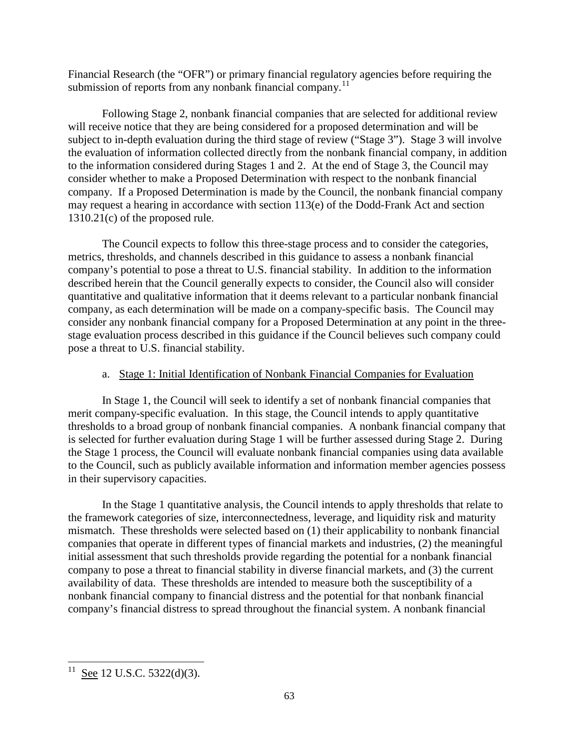Financial Research (the "OFR") or primary financial regulatory agencies before requiring the submission of reports from any nonbank financial company.<sup>11</sup>

Following Stage 2, nonbank financial companies that are selected for additional review will receive notice that they are being considered for a proposed determination and will be subject to in-depth evaluation during the third stage of review ("Stage 3"). Stage 3 will involve the evaluation of information collected directly from the nonbank financial company, in addition to the information considered during Stages 1 and 2. At the end of Stage 3, the Council may consider whether to make a Proposed Determination with respect to the nonbank financial company. If a Proposed Determination is made by the Council, the nonbank financial company may request a hearing in accordance with section 113(e) of the Dodd-Frank Act and section 1310.21(c) of the proposed rule.

The Council expects to follow this three-stage process and to consider the categories, metrics, thresholds, and channels described in this guidance to assess a nonbank financial company's potential to pose a threat to U.S. financial stability. In addition to the information described herein that the Council generally expects to consider, the Council also will consider quantitative and qualitative information that it deems relevant to a particular nonbank financial company, as each determination will be made on a company-specific basis. The Council may consider any nonbank financial company for a Proposed Determination at any point in the threestage evaluation process described in this guidance if the Council believes such company could pose a threat to U.S. financial stability.

# a. Stage 1: Initial Identification of Nonbank Financial Companies for Evaluation

In Stage 1, the Council will seek to identify a set of nonbank financial companies that merit company-specific evaluation. In this stage, the Council intends to apply quantitative thresholds to a broad group of nonbank financial companies. A nonbank financial company that is selected for further evaluation during Stage 1 will be further assessed during Stage 2. During the Stage 1 process, the Council will evaluate nonbank financial companies using data available to the Council, such as publicly available information and information member agencies possess in their supervisory capacities.

In the Stage 1 quantitative analysis, the Council intends to apply thresholds that relate to the framework categories of size, interconnectedness, leverage, and liquidity risk and maturity mismatch. These thresholds were selected based on (1) their applicability to nonbank financial companies that operate in different types of financial markets and industries, (2) the meaningful initial assessment that such thresholds provide regarding the potential for a nonbank financial company to pose a threat to financial stability in diverse financial markets, and (3) the current availability of data. These thresholds are intended to measure both the susceptibility of a nonbank financial company to financial distress and the potential for that nonbank financial company's financial distress to spread throughout the financial system. A nonbank financial

<span id="page-62-0"></span><sup>&</sup>lt;sup>11</sup> See 12 U.S.C. 5322(d)(3).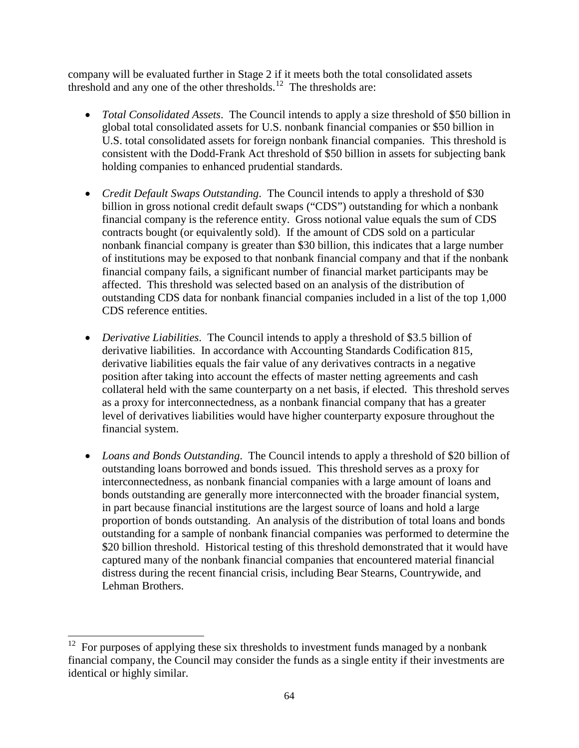company will be evaluated further in Stage 2 if it meets both the total consolidated assets threshold and any one of the other thresholds.<sup>[12](#page-62-0)</sup> The thresholds are:

- *Total Consolidated Assets*. The Council intends to apply a size threshold of \$50 billion in global total consolidated assets for U.S. nonbank financial companies or \$50 billion in U.S. total consolidated assets for foreign nonbank financial companies. This threshold is consistent with the Dodd-Frank Act threshold of \$50 billion in assets for subjecting bank holding companies to enhanced prudential standards.
- *Credit Default Swaps Outstanding*. The Council intends to apply a threshold of \$30 billion in gross notional credit default swaps ("CDS") outstanding for which a nonbank financial company is the reference entity. Gross notional value equals the sum of CDS contracts bought (or equivalently sold). If the amount of CDS sold on a particular nonbank financial company is greater than \$30 billion, this indicates that a large number of institutions may be exposed to that nonbank financial company and that if the nonbank financial company fails, a significant number of financial market participants may be affected. This threshold was selected based on an analysis of the distribution of outstanding CDS data for nonbank financial companies included in a list of the top 1,000 CDS reference entities.
- *Derivative Liabilities*. The Council intends to apply a threshold of \$3.5 billion of derivative liabilities. In accordance with Accounting Standards Codification 815, derivative liabilities equals the fair value of any derivatives contracts in a negative position after taking into account the effects of master netting agreements and cash collateral held with the same counterparty on a net basis, if elected. This threshold serves as a proxy for interconnectedness, as a nonbank financial company that has a greater level of derivatives liabilities would have higher counterparty exposure throughout the financial system.
- *Loans and Bonds Outstanding*. The Council intends to apply a threshold of \$20 billion of outstanding loans borrowed and bonds issued. This threshold serves as a proxy for interconnectedness, as nonbank financial companies with a large amount of loans and bonds outstanding are generally more interconnected with the broader financial system, in part because financial institutions are the largest source of loans and hold a large proportion of bonds outstanding. An analysis of the distribution of total loans and bonds outstanding for a sample of nonbank financial companies was performed to determine the \$20 billion threshold. Historical testing of this threshold demonstrated that it would have captured many of the nonbank financial companies that encountered material financial distress during the recent financial crisis, including Bear Stearns, Countrywide, and Lehman Brothers.

<span id="page-63-0"></span> $12$  For purposes of applying these six thresholds to investment funds managed by a nonbank financial company, the Council may consider the funds as a single entity if their investments are identical or highly similar.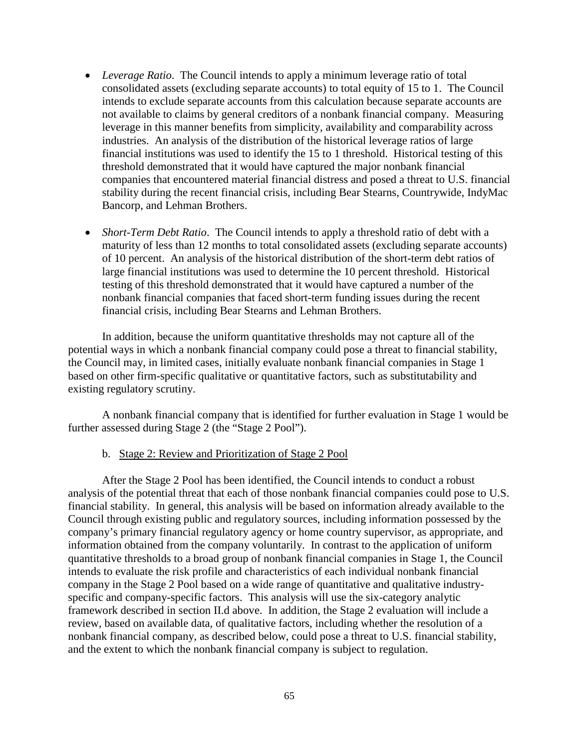- *Leverage Ratio*. The Council intends to apply a minimum leverage ratio of total consolidated assets (excluding separate accounts) to total equity of 15 to 1. The Council intends to exclude separate accounts from this calculation because separate accounts are not available to claims by general creditors of a nonbank financial company. Measuring leverage in this manner benefits from simplicity, availability and comparability across industries. An analysis of the distribution of the historical leverage ratios of large financial institutions was used to identify the 15 to 1 threshold. Historical testing of this threshold demonstrated that it would have captured the major nonbank financial companies that encountered material financial distress and posed a threat to U.S. financial stability during the recent financial crisis, including Bear Stearns, Countrywide, IndyMac Bancorp, and Lehman Brothers.
- *Short-Term Debt Ratio*. The Council intends to apply a threshold ratio of debt with a maturity of less than 12 months to total consolidated assets (excluding separate accounts) of 10 percent. An analysis of the historical distribution of the short-term debt ratios of large financial institutions was used to determine the 10 percent threshold. Historical testing of this threshold demonstrated that it would have captured a number of the nonbank financial companies that faced short-term funding issues during the recent financial crisis, including Bear Stearns and Lehman Brothers.

In addition, because the uniform quantitative thresholds may not capture all of the potential ways in which a nonbank financial company could pose a threat to financial stability, the Council may, in limited cases, initially evaluate nonbank financial companies in Stage 1 based on other firm-specific qualitative or quantitative factors, such as substitutability and existing regulatory scrutiny.

A nonbank financial company that is identified for further evaluation in Stage 1 would be further assessed during Stage 2 (the "Stage 2 Pool").

## b. Stage 2: Review and Prioritization of Stage 2 Pool

After the Stage 2 Pool has been identified, the Council intends to conduct a robust analysis of the potential threat that each of those nonbank financial companies could pose to U.S. financial stability. In general, this analysis will be based on information already available to the Council through existing public and regulatory sources, including information possessed by the company's primary financial regulatory agency or home country supervisor, as appropriate, and information obtained from the company voluntarily. In contrast to the application of uniform quantitative thresholds to a broad group of nonbank financial companies in Stage 1, the Council intends to evaluate the risk profile and characteristics of each individual nonbank financial company in the Stage 2 Pool based on a wide range of quantitative and qualitative industryspecific and company-specific factors. This analysis will use the six-category analytic framework described in section II.d above. In addition, the Stage 2 evaluation will include a review, based on available data, of qualitative factors, including whether the resolution of a nonbank financial company, as described below, could pose a threat to U.S. financial stability, and the extent to which the nonbank financial company is subject to regulation.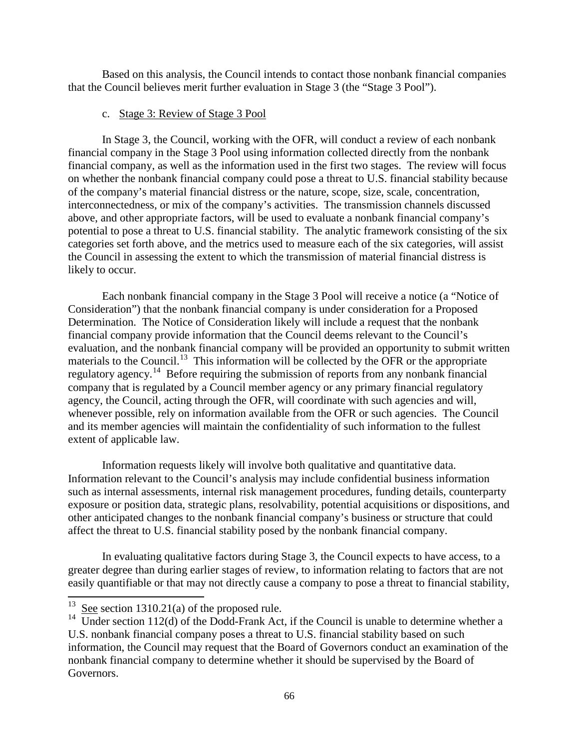Based on this analysis, the Council intends to contact those nonbank financial companies that the Council believes merit further evaluation in Stage 3 (the "Stage 3 Pool").

# c. Stage 3: Review of Stage 3 Pool

In Stage 3, the Council, working with the OFR, will conduct a review of each nonbank financial company in the Stage 3 Pool using information collected directly from the nonbank financial company, as well as the information used in the first two stages. The review will focus on whether the nonbank financial company could pose a threat to U.S. financial stability because of the company's material financial distress or the nature, scope, size, scale, concentration, interconnectedness, or mix of the company's activities. The transmission channels discussed above, and other appropriate factors, will be used to evaluate a nonbank financial company's potential to pose a threat to U.S. financial stability. The analytic framework consisting of the six categories set forth above, and the metrics used to measure each of the six categories, will assist the Council in assessing the extent to which the transmission of material financial distress is likely to occur.

Each nonbank financial company in the Stage 3 Pool will receive a notice (a "Notice of Consideration") that the nonbank financial company is under consideration for a Proposed Determination. The Notice of Consideration likely will include a request that the nonbank financial company provide information that the Council deems relevant to the Council's evaluation, and the nonbank financial company will be provided an opportunity to submit written materials to the Council.<sup>13</sup> This information will be collected by the OFR or the appropriate regulatory agency.<sup>14</sup> Before requiring the submission of reports from any nonbank financial company that is regulated by a Council member agency or any primary financial regulatory agency, the Council, acting through the OFR, will coordinate with such agencies and will, whenever possible, rely on information available from the OFR or such agencies. The Council and its member agencies will maintain the confidentiality of such information to the fullest extent of applicable law.

Information requests likely will involve both qualitative and quantitative data. Information relevant to the Council's analysis may include confidential business information such as internal assessments, internal risk management procedures, funding details, counterparty exposure or position data, strategic plans, resolvability, potential acquisitions or dispositions, and other anticipated changes to the nonbank financial company's business or structure that could affect the threat to U.S. financial stability posed by the nonbank financial company.

In evaluating qualitative factors during Stage 3, the Council expects to have access, to a greater degree than during earlier stages of review, to information relating to factors that are not easily quantifiable or that may not directly cause a company to pose a threat to financial stability,

<span id="page-65-0"></span> $13$  See section 1310.21(a) of the proposed rule.

<sup>&</sup>lt;sup>14</sup> Under section 112(d) of the Dodd-Frank Act, if the Council is unable to determine whether a U.S. nonbank financial company poses a threat to U.S. financial stability based on such information, the Council may request that the Board of Governors conduct an examination of the

nonbank financial company to determine whether it should be supervised by the Board of Governors.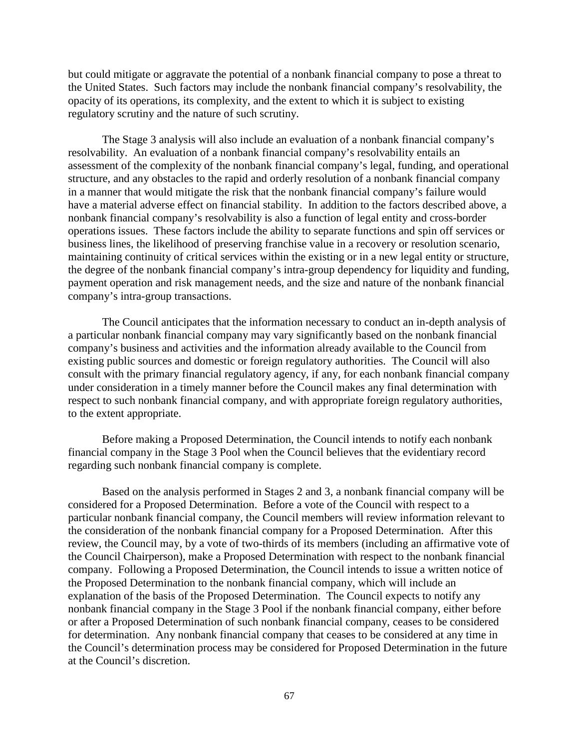but could mitigate or aggravate the potential of a nonbank financial company to pose a threat to the United States. Such factors may include the nonbank financial company's resolvability, the opacity of its operations, its complexity, and the extent to which it is subject to existing regulatory scrutiny and the nature of such scrutiny.

The Stage 3 analysis will also include an evaluation of a nonbank financial company's resolvability. An evaluation of a nonbank financial company's resolvability entails an assessment of the complexity of the nonbank financial company's legal, funding, and operational structure, and any obstacles to the rapid and orderly resolution of a nonbank financial company in a manner that would mitigate the risk that the nonbank financial company's failure would have a material adverse effect on financial stability. In addition to the factors described above, a nonbank financial company's resolvability is also a function of legal entity and cross-border operations issues. These factors include the ability to separate functions and spin off services or business lines, the likelihood of preserving franchise value in a recovery or resolution scenario, maintaining continuity of critical services within the existing or in a new legal entity or structure, the degree of the nonbank financial company's intra-group dependency for liquidity and funding, payment operation and risk management needs, and the size and nature of the nonbank financial company's intra-group transactions.

The Council anticipates that the information necessary to conduct an in-depth analysis of a particular nonbank financial company may vary significantly based on the nonbank financial company's business and activities and the information already available to the Council from existing public sources and domestic or foreign regulatory authorities. The Council will also consult with the primary financial regulatory agency, if any, for each nonbank financial company under consideration in a timely manner before the Council makes any final determination with respect to such nonbank financial company, and with appropriate foreign regulatory authorities, to the extent appropriate.

Before making a Proposed Determination, the Council intends to notify each nonbank financial company in the Stage 3 Pool when the Council believes that the evidentiary record regarding such nonbank financial company is complete.

Based on the analysis performed in Stages 2 and 3, a nonbank financial company will be considered for a Proposed Determination. Before a vote of the Council with respect to a particular nonbank financial company, the Council members will review information relevant to the consideration of the nonbank financial company for a Proposed Determination. After this review, the Council may, by a vote of two-thirds of its members (including an affirmative vote of the Council Chairperson), make a Proposed Determination with respect to the nonbank financial company. Following a Proposed Determination, the Council intends to issue a written notice of the Proposed Determination to the nonbank financial company, which will include an explanation of the basis of the Proposed Determination. The Council expects to notify any nonbank financial company in the Stage 3 Pool if the nonbank financial company, either before or after a Proposed Determination of such nonbank financial company, ceases to be considered for determination. Any nonbank financial company that ceases to be considered at any time in the Council's determination process may be considered for Proposed Determination in the future at the Council's discretion.